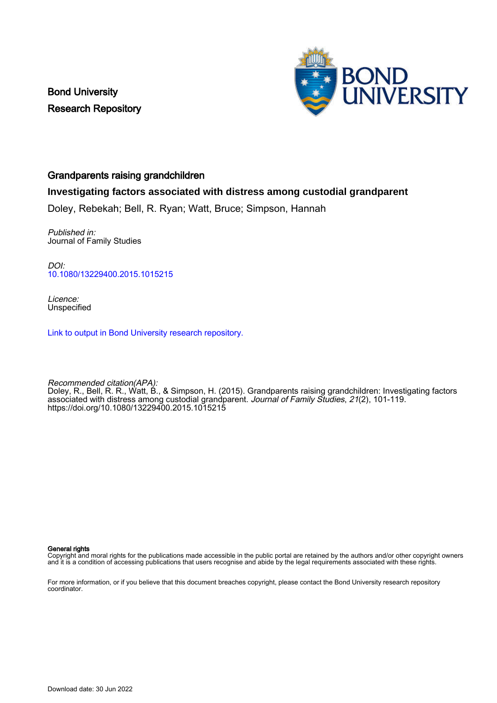Bond University Research Repository



#### Grandparents raising grandchildren

### **Investigating factors associated with distress among custodial grandparent**

Doley, Rebekah; Bell, R. Ryan; Watt, Bruce; Simpson, Hannah

Published in: Journal of Family Studies

DOI: [10.1080/13229400.2015.1015215](https://doi.org/10.1080/13229400.2015.1015215)

Licence: Unspecified

[Link to output in Bond University research repository.](https://research.bond.edu.au/en/publications/28d441e6-d695-43e6-8756-9bb52e65b329)

Recommended citation(APA): Doley, R., Bell, R. R., Watt, B., & Simpson, H. (2015). Grandparents raising grandchildren: Investigating factors associated with distress among custodial grandparent. Journal of Family Studies, 21(2), 101-119. <https://doi.org/10.1080/13229400.2015.1015215>

#### General rights

Copyright and moral rights for the publications made accessible in the public portal are retained by the authors and/or other copyright owners and it is a condition of accessing publications that users recognise and abide by the legal requirements associated with these rights.

For more information, or if you believe that this document breaches copyright, please contact the Bond University research repository coordinator.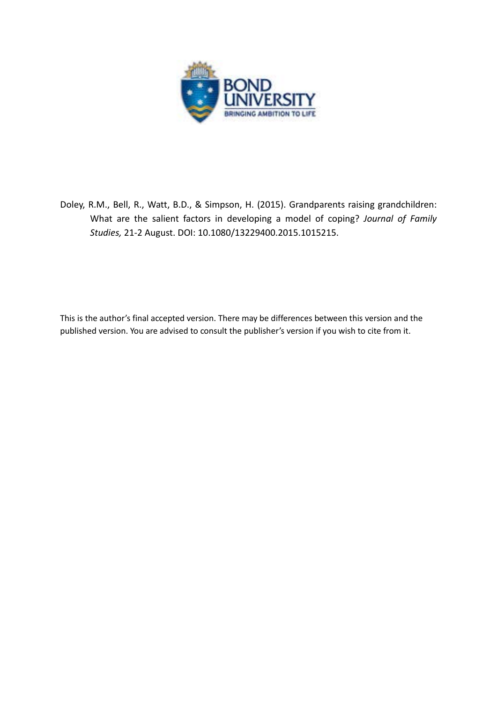

Doley, R.M., Bell, R., Watt, B.D., & Simpson, H. (2015). Grandparents raising grandchildren: What are the salient factors in developing a model of coping? *Journal of Family Studies,* 21-2 August. DOI: 10.1080/13229400.2015.1015215.

This is the author's final accepted version. There may be differences between this version and the published version. You are advised to consult the publisher's version if you wish to cite from it.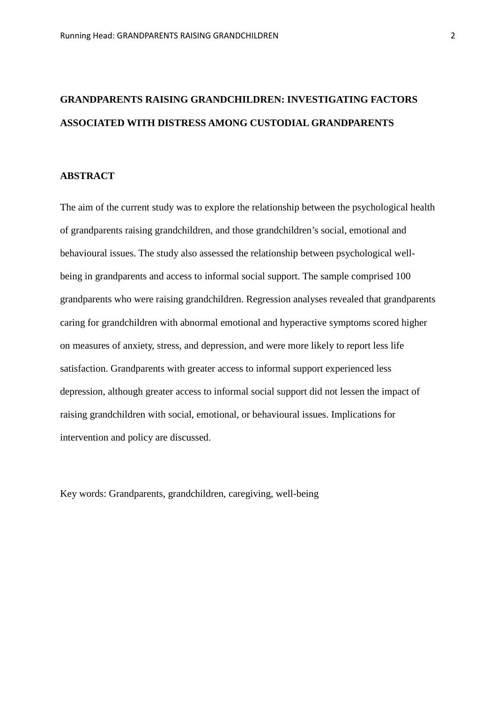# **GRANDPARENTS RAISING GRANDCHILDREN: INVESTIGATING FACTORS ASSOCIATED WITH DISTRESS AMONG CUSTODIAL GRANDPARENTS**

#### **ABSTRACT**

The aim of the current study was to explore the relationship between the psychological health of grandparents raising grandchildren, and those grandchildren's social, emotional and behavioural issues. The study also assessed the relationship between psychological wellbeing in grandparents and access to informal social support. The sample comprised 100 grandparents who were raising grandchildren. Regression analyses revealed that grandparents caring for grandchildren with abnormal emotional and hyperactive symptoms scored higher on measures of anxiety, stress, and depression, and were more likely to report less life satisfaction. Grandparents with greater access to informal support experienced less depression, although greater access to informal social support did not lessen the impact of raising grandchildren with social, emotional, or behavioural issues. Implications for intervention and policy are discussed.

Key words: Grandparents, grandchildren, caregiving, well-being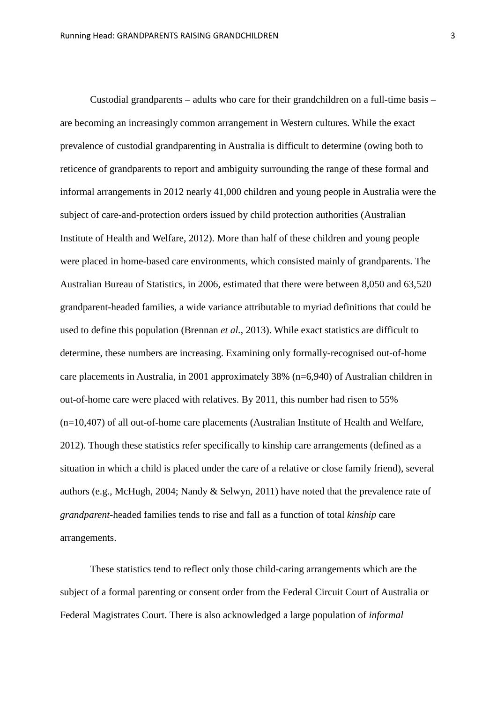Custodial grandparents – adults who care for their grandchildren on a full-time basis – are becoming an increasingly common arrangement in Western cultures. While the exact prevalence of custodial grandparenting in Australia is difficult to determine (owing both to reticence of grandparents to report and ambiguity surrounding the range of these formal and informal arrangements in 2012 nearly 41,000 children and young people in Australia were the subject of care-and-protection orders issued by child protection authorities (Australian Institute of Health and Welfare, 2012). More than half of these children and young people were placed in home-based care environments, which consisted mainly of grandparents. The Australian Bureau of Statistics, in 2006, estimated that there were between 8,050 and 63,520 grandparent-headed families, a wide variance attributable to myriad definitions that could be used to define this population (Brennan *et al.*, 2013). While exact statistics are difficult to determine, these numbers are increasing. Examining only formally-recognised out-of-home care placements in Australia, in 2001 approximately 38% (n=6,940) of Australian children in out-of-home care were placed with relatives. By 2011, this number had risen to 55% (n=10,407) of all out-of-home care placements (Australian Institute of Health and Welfare, 2012). Though these statistics refer specifically to kinship care arrangements (defined as a situation in which a child is placed under the care of a relative or close family friend), several authors (e.g., McHugh, 2004; Nandy & Selwyn, 2011) have noted that the prevalence rate of *grandparent-*headed families tends to rise and fall as a function of total *kinship* care arrangements.

These statistics tend to reflect only those child-caring arrangements which are the subject of a formal parenting or consent order from the Federal Circuit Court of Australia or Federal Magistrates Court. There is also acknowledged a large population of *informal*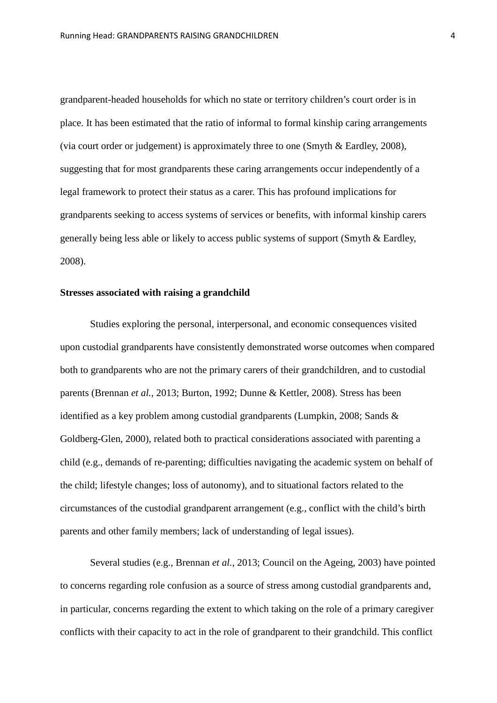grandparent-headed households for which no state or territory children's court order is in place. It has been estimated that the ratio of informal to formal kinship caring arrangements (via court order or judgement) is approximately three to one (Smyth & Eardley, 2008), suggesting that for most grandparents these caring arrangements occur independently of a legal framework to protect their status as a carer. This has profound implications for grandparents seeking to access systems of services or benefits, with informal kinship carers generally being less able or likely to access public systems of support (Smyth & Eardley, 2008).

#### **Stresses associated with raising a grandchild**

Studies exploring the personal, interpersonal, and economic consequences visited upon custodial grandparents have consistently demonstrated worse outcomes when compared both to grandparents who are not the primary carers of their grandchildren, and to custodial parents (Brennan *et al.*, 2013; Burton, 1992; Dunne & Kettler, 2008). Stress has been identified as a key problem among custodial grandparents (Lumpkin, 2008; Sands & Goldberg-Glen, 2000), related both to practical considerations associated with parenting a child (e.g., demands of re-parenting; difficulties navigating the academic system on behalf of the child; lifestyle changes; loss of autonomy), and to situational factors related to the circumstances of the custodial grandparent arrangement (e.g., conflict with the child's birth parents and other family members; lack of understanding of legal issues).

Several studies (e.g., Brennan *et al.*, 2013; Council on the Ageing, 2003) have pointed to concerns regarding role confusion as a source of stress among custodial grandparents and, in particular, concerns regarding the extent to which taking on the role of a primary caregiver conflicts with their capacity to act in the role of grandparent to their grandchild. This conflict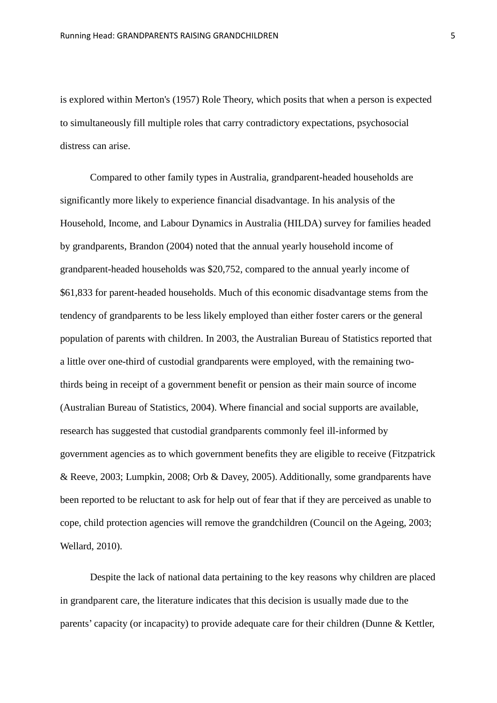is explored within Merton's (1957) Role Theory, which posits that when a person is expected to simultaneously fill multiple roles that carry contradictory expectations, psychosocial distress can arise.

Compared to other family types in Australia, grandparent-headed households are significantly more likely to experience financial disadvantage. In his analysis of the Household, Income, and Labour Dynamics in Australia (HILDA) survey for families headed by grandparents, Brandon (2004) noted that the annual yearly household income of grandparent-headed households was \$20,752, compared to the annual yearly income of \$61,833 for parent-headed households. Much of this economic disadvantage stems from the tendency of grandparents to be less likely employed than either foster carers or the general population of parents with children. In 2003, the Australian Bureau of Statistics reported that a little over one-third of custodial grandparents were employed, with the remaining twothirds being in receipt of a government benefit or pension as their main source of income (Australian Bureau of Statistics, 2004). Where financial and social supports are available, research has suggested that custodial grandparents commonly feel ill-informed by government agencies as to which government benefits they are eligible to receive (Fitzpatrick & Reeve, 2003; Lumpkin, 2008; Orb & Davey, 2005). Additionally, some grandparents have been reported to be reluctant to ask for help out of fear that if they are perceived as unable to cope, child protection agencies will remove the grandchildren (Council on the Ageing, 2003; Wellard, 2010).

Despite the lack of national data pertaining to the key reasons why children are placed in grandparent care, the literature indicates that this decision is usually made due to the parents' capacity (or incapacity) to provide adequate care for their children (Dunne & Kettler,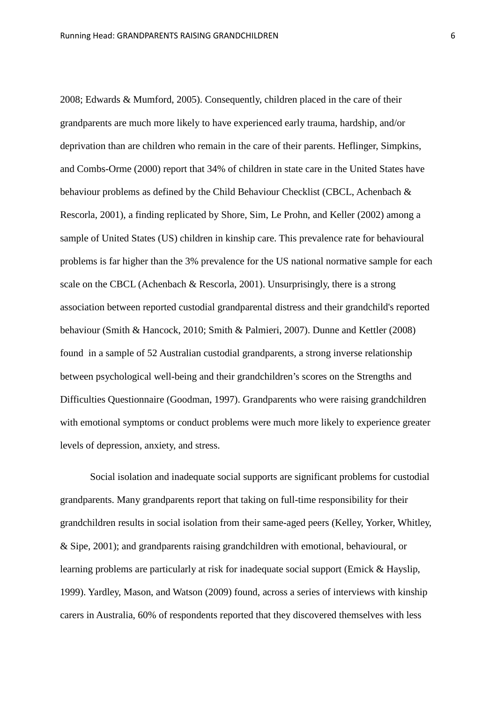2008; Edwards & Mumford, 2005). Consequently, children placed in the care of their grandparents are much more likely to have experienced early trauma, hardship, and/or deprivation than are children who remain in the care of their parents. Heflinger, Simpkins, and Combs-Orme (2000) report that 34% of children in state care in the United States have behaviour problems as defined by the Child Behaviour Checklist (CBCL, Achenbach & Rescorla, 2001), a finding replicated by Shore, Sim, Le Prohn, and Keller (2002) among a sample of United States (US) children in kinship care. This prevalence rate for behavioural problems is far higher than the 3% prevalence for the US national normative sample for each scale on the CBCL (Achenbach & Rescorla, 2001). Unsurprisingly, there is a strong association between reported custodial grandparental distress and their grandchild's reported behaviour (Smith & Hancock, 2010; Smith & Palmieri, 2007). Dunne and Kettler (2008) found in a sample of 52 Australian custodial grandparents, a strong inverse relationship between psychological well-being and their grandchildren's scores on the Strengths and Difficulties Questionnaire (Goodman, 1997). Grandparents who were raising grandchildren with emotional symptoms or conduct problems were much more likely to experience greater levels of depression, anxiety, and stress.

Social isolation and inadequate social supports are significant problems for custodial grandparents. Many grandparents report that taking on full-time responsibility for their grandchildren results in social isolation from their same-aged peers (Kelley, Yorker, Whitley, & Sipe, 2001); and grandparents raising grandchildren with emotional, behavioural, or learning problems are particularly at risk for inadequate social support (Emick & Hayslip, 1999). Yardley, Mason, and Watson (2009) found, across a series of interviews with kinship carers in Australia, 60% of respondents reported that they discovered themselves with less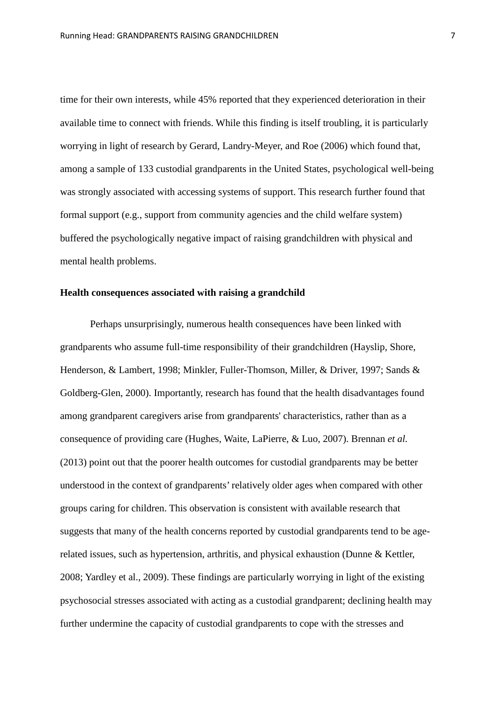time for their own interests, while 45% reported that they experienced deterioration in their available time to connect with friends. While this finding is itself troubling, it is particularly worrying in light of research by Gerard, Landry-Meyer, and Roe (2006) which found that, among a sample of 133 custodial grandparents in the United States, psychological well-being was strongly associated with accessing systems of support. This research further found that formal support (e.g., support from community agencies and the child welfare system) buffered the psychologically negative impact of raising grandchildren with physical and mental health problems.

#### **Health consequences associated with raising a grandchild**

Perhaps unsurprisingly, numerous health consequences have been linked with grandparents who assume full-time responsibility of their grandchildren (Hayslip, Shore, Henderson, & Lambert, 1998; Minkler, Fuller-Thomson, Miller, & Driver, 1997; Sands & Goldberg-Glen, 2000). Importantly, research has found that the health disadvantages found among grandparent caregivers arise from grandparents' characteristics, rather than as a consequence of providing care (Hughes, Waite, LaPierre, & Luo, 2007). Brennan *et al.* (2013) point out that the poorer health outcomes for custodial grandparents may be better understood in the context of grandparents' relatively older ages when compared with other groups caring for children. This observation is consistent with available research that suggests that many of the health concerns reported by custodial grandparents tend to be agerelated issues, such as hypertension, arthritis, and physical exhaustion (Dunne & Kettler, 2008; Yardley et al., 2009). These findings are particularly worrying in light of the existing psychosocial stresses associated with acting as a custodial grandparent; declining health may further undermine the capacity of custodial grandparents to cope with the stresses and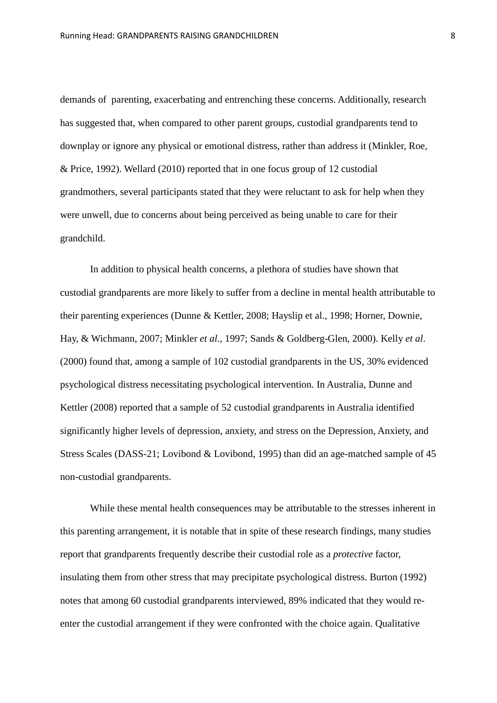demands of parenting, exacerbating and entrenching these concerns. Additionally, research has suggested that, when compared to other parent groups, custodial grandparents tend to downplay or ignore any physical or emotional distress, rather than address it (Minkler, Roe, & Price, 1992). Wellard (2010) reported that in one focus group of 12 custodial grandmothers, several participants stated that they were reluctant to ask for help when they were unwell, due to concerns about being perceived as being unable to care for their grandchild.

In addition to physical health concerns, a plethora of studies have shown that custodial grandparents are more likely to suffer from a decline in mental health attributable to their parenting experiences (Dunne & Kettler, 2008; Hayslip et al., 1998; Horner, Downie, Hay, & Wichmann, 2007; Minkler *et al.*, 1997; Sands & Goldberg-Glen, 2000). Kelly *et al*. (2000) found that, among a sample of 102 custodial grandparents in the US, 30% evidenced psychological distress necessitating psychological intervention. In Australia, Dunne and Kettler (2008) reported that a sample of 52 custodial grandparents in Australia identified significantly higher levels of depression, anxiety, and stress on the Depression, Anxiety, and Stress Scales (DASS-21; Lovibond & Lovibond, 1995) than did an age-matched sample of 45 non-custodial grandparents.

While these mental health consequences may be attributable to the stresses inherent in this parenting arrangement, it is notable that in spite of these research findings, many studies report that grandparents frequently describe their custodial role as a *protective* factor, insulating them from other stress that may precipitate psychological distress. Burton (1992) notes that among 60 custodial grandparents interviewed, 89% indicated that they would reenter the custodial arrangement if they were confronted with the choice again. Qualitative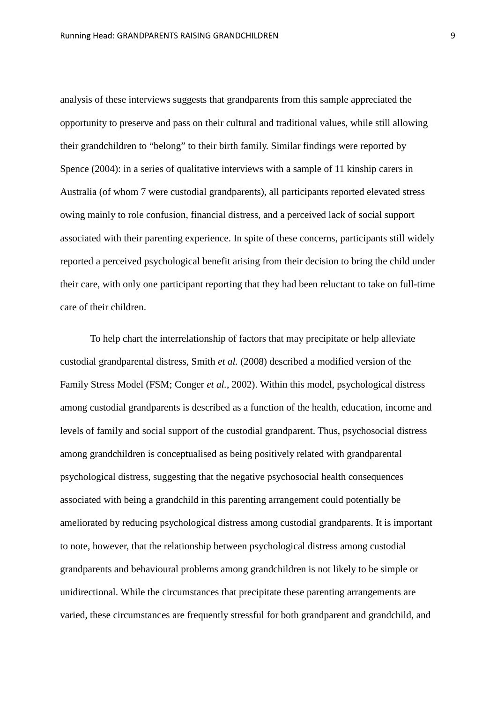analysis of these interviews suggests that grandparents from this sample appreciated the opportunity to preserve and pass on their cultural and traditional values, while still allowing their grandchildren to "belong" to their birth family. Similar findings were reported by Spence (2004): in a series of qualitative interviews with a sample of 11 kinship carers in Australia (of whom 7 were custodial grandparents), all participants reported elevated stress owing mainly to role confusion, financial distress, and a perceived lack of social support associated with their parenting experience. In spite of these concerns, participants still widely reported a perceived psychological benefit arising from their decision to bring the child under their care, with only one participant reporting that they had been reluctant to take on full-time care of their children.

To help chart the interrelationship of factors that may precipitate or help alleviate custodial grandparental distress, Smith *et al.* (2008) described a modified version of the Family Stress Model (FSM; Conger *et al.*, 2002). Within this model, psychological distress among custodial grandparents is described as a function of the health, education, income and levels of family and social support of the custodial grandparent. Thus, psychosocial distress among grandchildren is conceptualised as being positively related with grandparental psychological distress, suggesting that the negative psychosocial health consequences associated with being a grandchild in this parenting arrangement could potentially be ameliorated by reducing psychological distress among custodial grandparents. It is important to note, however, that the relationship between psychological distress among custodial grandparents and behavioural problems among grandchildren is not likely to be simple or unidirectional. While the circumstances that precipitate these parenting arrangements are varied, these circumstances are frequently stressful for both grandparent and grandchild, and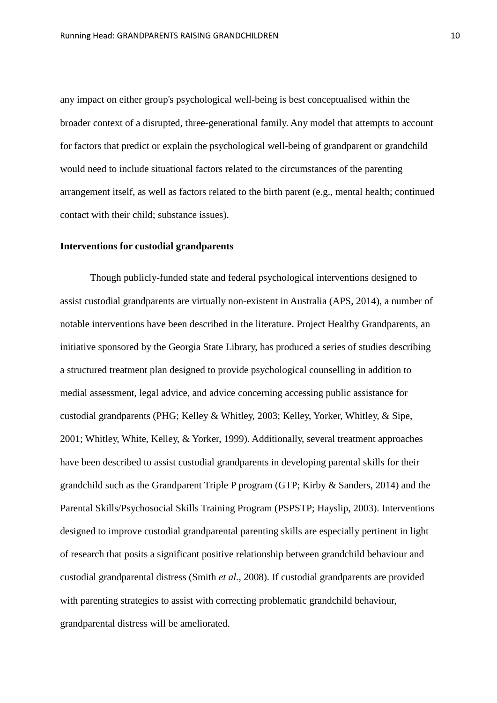any impact on either group's psychological well-being is best conceptualised within the broader context of a disrupted, three-generational family. Any model that attempts to account for factors that predict or explain the psychological well-being of grandparent or grandchild would need to include situational factors related to the circumstances of the parenting arrangement itself, as well as factors related to the birth parent (e.g., mental health; continued contact with their child; substance issues).

#### **Interventions for custodial grandparents**

Though publicly-funded state and federal psychological interventions designed to assist custodial grandparents are virtually non-existent in Australia (APS, 2014), a number of notable interventions have been described in the literature. Project Healthy Grandparents, an initiative sponsored by the Georgia State Library, has produced a series of studies describing a structured treatment plan designed to provide psychological counselling in addition to medial assessment, legal advice, and advice concerning accessing public assistance for custodial grandparents (PHG; Kelley & Whitley, 2003; Kelley, Yorker, Whitley, & Sipe, 2001; Whitley, White, Kelley, & Yorker, 1999). Additionally, several treatment approaches have been described to assist custodial grandparents in developing parental skills for their grandchild such as the Grandparent Triple P program (GTP; Kirby & Sanders, 2014) and the Parental Skills/Psychosocial Skills Training Program (PSPSTP; Hayslip, 2003). Interventions designed to improve custodial grandparental parenting skills are especially pertinent in light of research that posits a significant positive relationship between grandchild behaviour and custodial grandparental distress (Smith *et al.,* 2008). If custodial grandparents are provided with parenting strategies to assist with correcting problematic grandchild behaviour, grandparental distress will be ameliorated.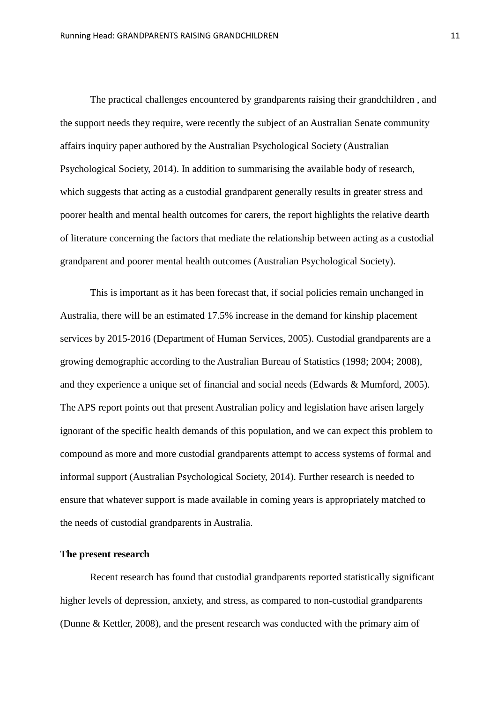The practical challenges encountered by grandparents raising their grandchildren , and the support needs they require, were recently the subject of an Australian Senate community affairs inquiry paper authored by the Australian Psychological Society (Australian Psychological Society, 2014). In addition to summarising the available body of research, which suggests that acting as a custodial grandparent generally results in greater stress and poorer health and mental health outcomes for carers, the report highlights the relative dearth of literature concerning the factors that mediate the relationship between acting as a custodial grandparent and poorer mental health outcomes (Australian Psychological Society).

This is important as it has been forecast that, if social policies remain unchanged in Australia, there will be an estimated 17.5% increase in the demand for kinship placement services by 2015-2016 (Department of Human Services, 2005). Custodial grandparents are a growing demographic according to the Australian Bureau of Statistics (1998; 2004; 2008), and they experience a unique set of financial and social needs (Edwards & Mumford, 2005). The APS report points out that present Australian policy and legislation have arisen largely ignorant of the specific health demands of this population, and we can expect this problem to compound as more and more custodial grandparents attempt to access systems of formal and informal support (Australian Psychological Society, 2014). Further research is needed to ensure that whatever support is made available in coming years is appropriately matched to the needs of custodial grandparents in Australia.

#### **The present research**

Recent research has found that custodial grandparents reported statistically significant higher levels of depression, anxiety, and stress, as compared to non-custodial grandparents (Dunne & Kettler, 2008), and the present research was conducted with the primary aim of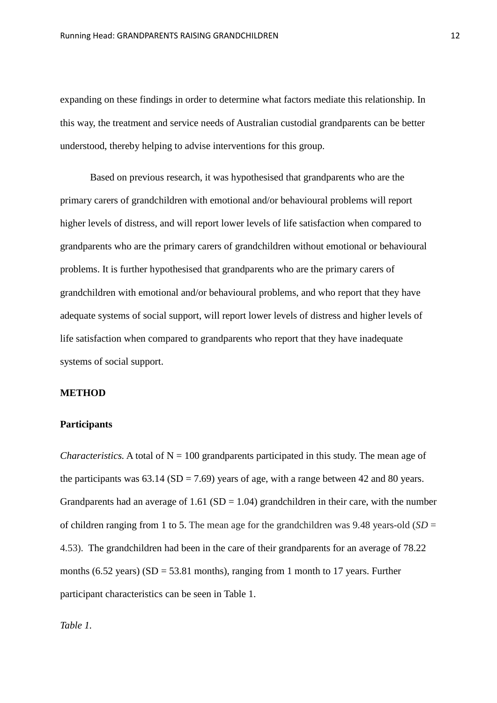expanding on these findings in order to determine what factors mediate this relationship. In this way, the treatment and service needs of Australian custodial grandparents can be better understood, thereby helping to advise interventions for this group.

Based on previous research, it was hypothesised that grandparents who are the primary carers of grandchildren with emotional and/or behavioural problems will report higher levels of distress, and will report lower levels of life satisfaction when compared to grandparents who are the primary carers of grandchildren without emotional or behavioural problems. It is further hypothesised that grandparents who are the primary carers of grandchildren with emotional and/or behavioural problems, and who report that they have adequate systems of social support, will report lower levels of distress and higher levels of life satisfaction when compared to grandparents who report that they have inadequate systems of social support.

#### **METHOD**

#### **Participants**

*Characteristics.* A total of  $N = 100$  grandparents participated in this study. The mean age of the participants was  $63.14$  (SD = 7.69) years of age, with a range between 42 and 80 years. Grandparents had an average of  $1.61$  (SD =  $1.04$ ) grandchildren in their care, with the number of children ranging from 1 to 5. The mean age for the grandchildren was 9.48 years-old  $(SD =$ 4.53). The grandchildren had been in the care of their grandparents for an average of 78.22 months (6.52 years)  $(SD = 53.81$  months), ranging from 1 month to 17 years. Further participant characteristics can be seen in Table 1.

*Table 1.*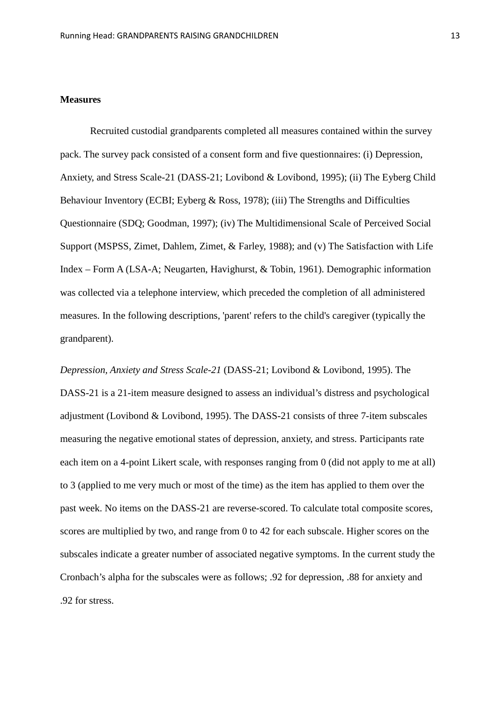#### **Measures**

Recruited custodial grandparents completed all measures contained within the survey pack. The survey pack consisted of a consent form and five questionnaires: (i) Depression, Anxiety, and Stress Scale-21 (DASS-21; Lovibond & Lovibond, 1995); (ii) The Eyberg Child Behaviour Inventory (ECBI; Eyberg & Ross, 1978); (iii) The Strengths and Difficulties Questionnaire (SDQ; Goodman, 1997); (iv) The Multidimensional Scale of Perceived Social Support (MSPSS, Zimet, Dahlem, Zimet, & Farley, 1988); and (v) The Satisfaction with Life Index – Form A (LSA-A; Neugarten, Havighurst, & Tobin, 1961). Demographic information was collected via a telephone interview, which preceded the completion of all administered measures. In the following descriptions, 'parent' refers to the child's caregiver (typically the grandparent).

*Depression, Anxiety and Stress Scale-21* (DASS-21; Lovibond & Lovibond, 1995). The DASS-21 is a 21-item measure designed to assess an individual's distress and psychological adjustment (Lovibond & Lovibond, 1995). The DASS-21 consists of three 7-item subscales measuring the negative emotional states of depression, anxiety, and stress. Participants rate each item on a 4-point Likert scale, with responses ranging from 0 (did not apply to me at all) to 3 (applied to me very much or most of the time) as the item has applied to them over the past week. No items on the DASS-21 are reverse-scored. To calculate total composite scores, scores are multiplied by two, and range from 0 to 42 for each subscale. Higher scores on the subscales indicate a greater number of associated negative symptoms. In the current study the Cronbach's alpha for the subscales were as follows; .92 for depression, .88 for anxiety and .92 for stress.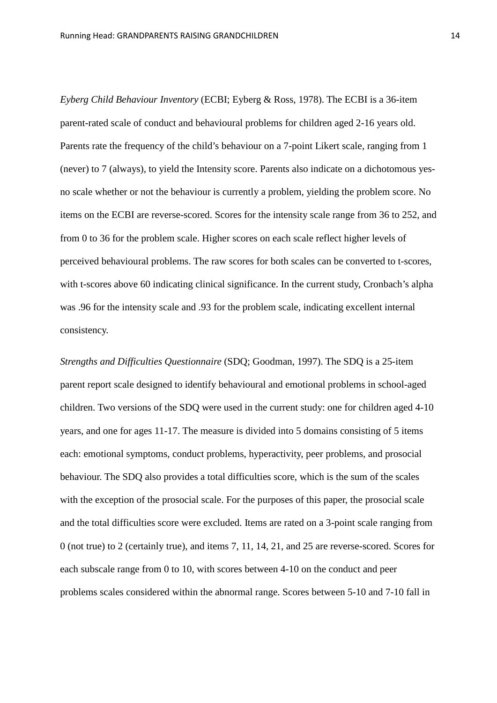*Eyberg Child Behaviour Inventory* (ECBI; Eyberg & Ross, 1978). The ECBI is a 36-item parent-rated scale of conduct and behavioural problems for children aged 2-16 years old. Parents rate the frequency of the child's behaviour on a 7-point Likert scale, ranging from 1 (never) to 7 (always), to yield the Intensity score. Parents also indicate on a dichotomous yesno scale whether or not the behaviour is currently a problem, yielding the problem score. No items on the ECBI are reverse-scored. Scores for the intensity scale range from 36 to 252, and from 0 to 36 for the problem scale. Higher scores on each scale reflect higher levels of perceived behavioural problems. The raw scores for both scales can be converted to t-scores, with t-scores above 60 indicating clinical significance. In the current study, Cronbach's alpha was .96 for the intensity scale and .93 for the problem scale, indicating excellent internal consistency.

*Strengths and Difficulties Questionnaire* (SDQ; Goodman, 1997). The SDQ is a 25-item parent report scale designed to identify behavioural and emotional problems in school-aged children. Two versions of the SDQ were used in the current study: one for children aged 4-10 years, and one for ages 11-17. The measure is divided into 5 domains consisting of 5 items each: emotional symptoms, conduct problems, hyperactivity, peer problems, and prosocial behaviour. The SDQ also provides a total difficulties score, which is the sum of the scales with the exception of the prosocial scale. For the purposes of this paper, the prosocial scale and the total difficulties score were excluded. Items are rated on a 3-point scale ranging from 0 (not true) to 2 (certainly true), and items 7, 11, 14, 21, and 25 are reverse-scored. Scores for each subscale range from 0 to 10, with scores between 4-10 on the conduct and peer problems scales considered within the abnormal range. Scores between 5-10 and 7-10 fall in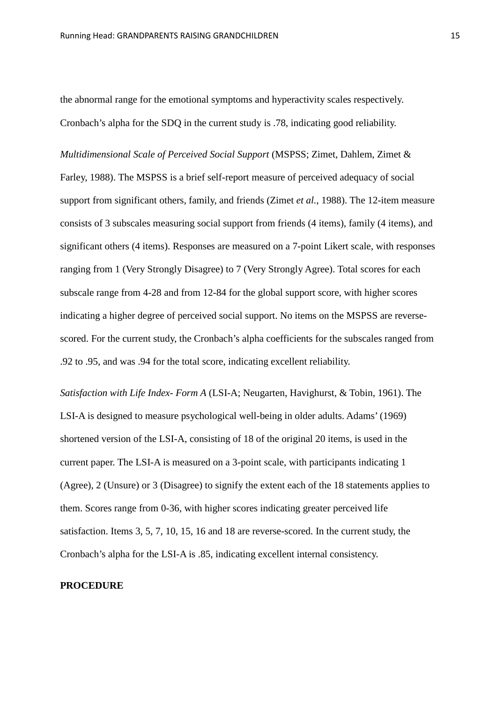the abnormal range for the emotional symptoms and hyperactivity scales respectively. Cronbach's alpha for the SDQ in the current study is .78, indicating good reliability.

*Multidimensional Scale of Perceived Social Support* (MSPSS; Zimet, Dahlem, Zimet & Farley, 1988). The MSPSS is a brief self-report measure of perceived adequacy of social support from significant others, family, and friends (Zimet *et al.*, 1988). The 12-item measure consists of 3 subscales measuring social support from friends (4 items), family (4 items), and significant others (4 items). Responses are measured on a 7-point Likert scale, with responses ranging from 1 (Very Strongly Disagree) to 7 (Very Strongly Agree). Total scores for each subscale range from 4-28 and from 12-84 for the global support score, with higher scores indicating a higher degree of perceived social support. No items on the MSPSS are reversescored. For the current study, the Cronbach's alpha coefficients for the subscales ranged from .92 to .95, and was .94 for the total score, indicating excellent reliability.

*Satisfaction with Life Index- Form A* (LSI-A; Neugarten, Havighurst, & Tobin, 1961). The LSI-A is designed to measure psychological well-being in older adults. Adams' (1969) shortened version of the LSI-A, consisting of 18 of the original 20 items, is used in the current paper. The LSI-A is measured on a 3-point scale, with participants indicating 1 (Agree), 2 (Unsure) or 3 (Disagree) to signify the extent each of the 18 statements applies to them. Scores range from 0-36, with higher scores indicating greater perceived life satisfaction. Items 3, 5, 7, 10, 15, 16 and 18 are reverse-scored. In the current study, the Cronbach's alpha for the LSI-A is .85, indicating excellent internal consistency.

#### **PROCEDURE**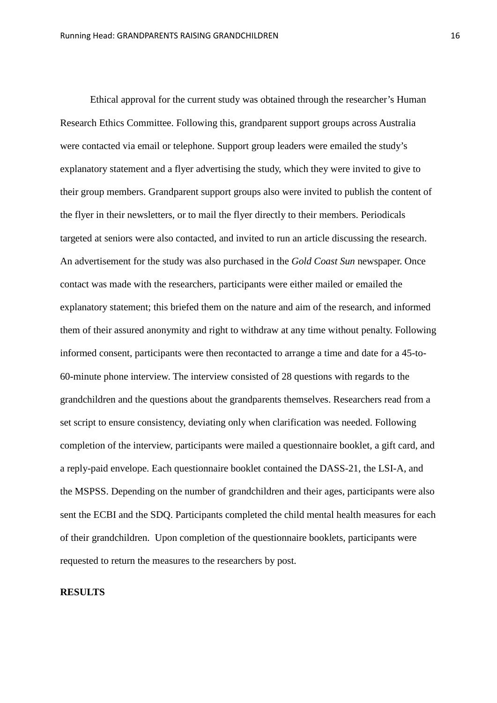Ethical approval for the current study was obtained through the researcher's Human Research Ethics Committee. Following this, grandparent support groups across Australia were contacted via email or telephone. Support group leaders were emailed the study's explanatory statement and a flyer advertising the study, which they were invited to give to their group members. Grandparent support groups also were invited to publish the content of the flyer in their newsletters, or to mail the flyer directly to their members. Periodicals targeted at seniors were also contacted, and invited to run an article discussing the research. An advertisement for the study was also purchased in the *Gold Coast Sun* newspaper. Once contact was made with the researchers, participants were either mailed or emailed the explanatory statement; this briefed them on the nature and aim of the research, and informed them of their assured anonymity and right to withdraw at any time without penalty. Following informed consent, participants were then recontacted to arrange a time and date for a 45-to-60-minute phone interview. The interview consisted of 28 questions with regards to the grandchildren and the questions about the grandparents themselves. Researchers read from a set script to ensure consistency, deviating only when clarification was needed. Following completion of the interview, participants were mailed a questionnaire booklet, a gift card, and a reply-paid envelope. Each questionnaire booklet contained the DASS-21, the LSI-A, and the MSPSS. Depending on the number of grandchildren and their ages, participants were also sent the ECBI and the SDQ. Participants completed the child mental health measures for each of their grandchildren. Upon completion of the questionnaire booklets, participants were requested to return the measures to the researchers by post.

#### **RESULTS**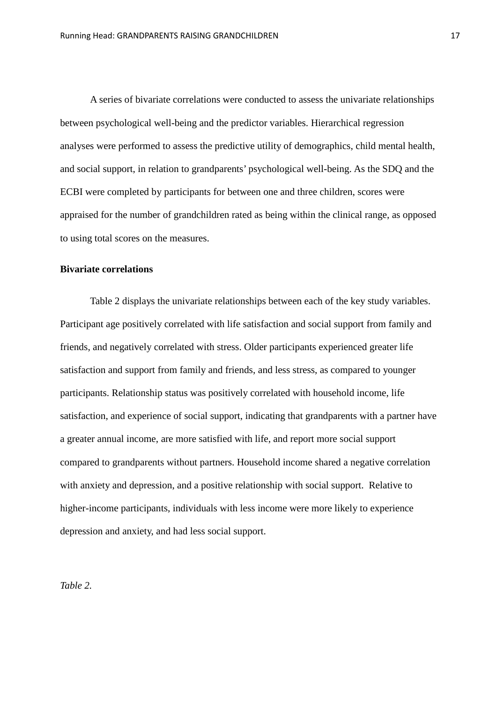A series of bivariate correlations were conducted to assess the univariate relationships between psychological well-being and the predictor variables. Hierarchical regression analyses were performed to assess the predictive utility of demographics, child mental health, and social support, in relation to grandparents' psychological well-being. As the SDQ and the ECBI were completed by participants for between one and three children, scores were appraised for the number of grandchildren rated as being within the clinical range, as opposed to using total scores on the measures.

#### **Bivariate correlations**

Table 2 displays the univariate relationships between each of the key study variables. Participant age positively correlated with life satisfaction and social support from family and friends, and negatively correlated with stress. Older participants experienced greater life satisfaction and support from family and friends, and less stress, as compared to younger participants. Relationship status was positively correlated with household income, life satisfaction, and experience of social support, indicating that grandparents with a partner have a greater annual income, are more satisfied with life, and report more social support compared to grandparents without partners. Household income shared a negative correlation with anxiety and depression, and a positive relationship with social support. Relative to higher-income participants, individuals with less income were more likely to experience depression and anxiety, and had less social support.

*Table 2.*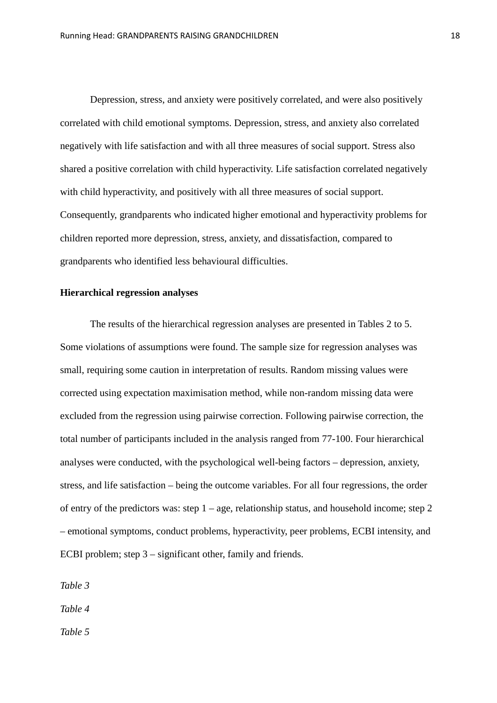Depression, stress, and anxiety were positively correlated, and were also positively correlated with child emotional symptoms. Depression, stress, and anxiety also correlated negatively with life satisfaction and with all three measures of social support. Stress also shared a positive correlation with child hyperactivity. Life satisfaction correlated negatively with child hyperactivity, and positively with all three measures of social support. Consequently, grandparents who indicated higher emotional and hyperactivity problems for children reported more depression, stress, anxiety, and dissatisfaction, compared to grandparents who identified less behavioural difficulties.

#### **Hierarchical regression analyses**

The results of the hierarchical regression analyses are presented in Tables 2 to 5. Some violations of assumptions were found. The sample size for regression analyses was small, requiring some caution in interpretation of results. Random missing values were corrected using expectation maximisation method, while non-random missing data were excluded from the regression using pairwise correction. Following pairwise correction, the total number of participants included in the analysis ranged from 77-100. Four hierarchical analyses were conducted, with the psychological well-being factors – depression, anxiety, stress, and life satisfaction – being the outcome variables. For all four regressions, the order of entry of the predictors was: step  $1 - \text{age}$ , relationship status, and household income; step 2 – emotional symptoms, conduct problems, hyperactivity, peer problems, ECBI intensity, and ECBI problem; step 3 – significant other, family and friends.

*Table 3*

*Table 4*

*Table 5*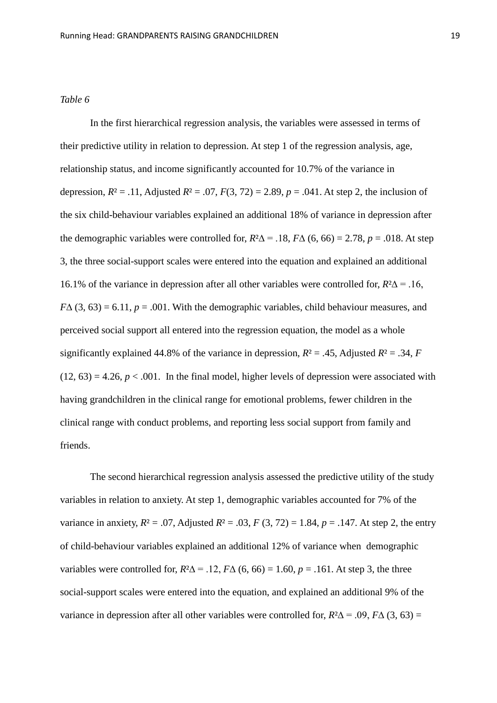In the first hierarchical regression analysis, the variables were assessed in terms of their predictive utility in relation to depression. At step 1 of the regression analysis, age, relationship status, and income significantly accounted for 10.7% of the variance in depression,  $R^2 = .11$ , Adjusted  $R^2 = .07$ ,  $F(3, 72) = 2.89$ ,  $p = .041$ . At step 2, the inclusion of the six child-behaviour variables explained an additional 18% of variance in depression after the demographic variables were controlled for,  $R^2\Delta = .18$ ,  $F\Delta$  (6, 66) = 2.78, *p* = .018. At step 3, the three social-support scales were entered into the equation and explained an additional 16.1% of the variance in depression after all other variables were controlled for, *R*²∆ = .16,  $F\Delta(3, 63) = 6.11$ ,  $p = .001$ . With the demographic variables, child behaviour measures, and perceived social support all entered into the regression equation, the model as a whole significantly explained 44.8% of the variance in depression,  $R^2 = .45$ , Adjusted  $R^2 = .34$ , *F*  $(12, 63) = 4.26$ ,  $p < .001$ . In the final model, higher levels of depression were associated with having grandchildren in the clinical range for emotional problems, fewer children in the clinical range with conduct problems, and reporting less social support from family and friends.

The second hierarchical regression analysis assessed the predictive utility of the study variables in relation to anxiety. At step 1, demographic variables accounted for 7% of the variance in anxiety,  $R^2 = .07$ , Adjusted  $R^2 = .03$ ,  $F(3, 72) = 1.84$ ,  $p = .147$ . At step 2, the entry of child-behaviour variables explained an additional 12% of variance when demographic variables were controlled for,  $R^2\Delta = .12$ ,  $F\Delta$  (6, 66) = 1.60,  $p = .161$ . At step 3, the three social-support scales were entered into the equation, and explained an additional 9% of the variance in depression after all other variables were controlled for,  $R^2\Delta = .09$ ,  $F\Delta (3, 63) =$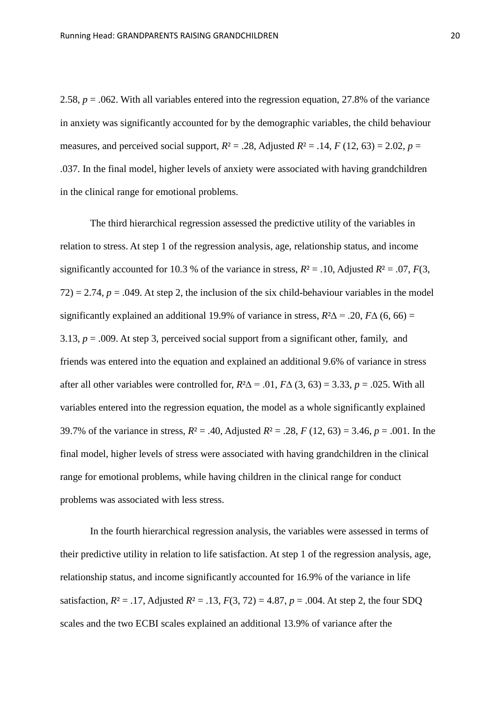2.58, *p* = .062. With all variables entered into the regression equation, 27.8% of the variance in anxiety was significantly accounted for by the demographic variables, the child behaviour measures, and perceived social support,  $R^2 = .28$ , Adjusted  $R^2 = .14$ ,  $F(12, 63) = 2.02$ ,  $p =$ .037. In the final model, higher levels of anxiety were associated with having grandchildren in the clinical range for emotional problems.

The third hierarchical regression assessed the predictive utility of the variables in relation to stress. At step 1 of the regression analysis, age, relationship status, and income significantly accounted for 10.3 % of the variance in stress,  $R^2 = .10$ , Adjusted  $R^2 = .07$ ,  $F(3)$ ,  $72$ ) = 2.74,  $p = .049$ . At step 2, the inclusion of the six child-behaviour variables in the model significantly explained an additional 19.9% of variance in stress,  $R^2\Delta = .20$ ,  $F\Delta$  (6, 66) = 3.13,  $p = .009$ . At step 3, perceived social support from a significant other, family, and friends was entered into the equation and explained an additional 9.6% of variance in stress after all other variables were controlled for,  $R^2\Delta = 0.01$ ,  $F\Delta(3, 63) = 3.33$ ,  $p = 0.025$ . With all variables entered into the regression equation, the model as a whole significantly explained 39.7% of the variance in stress,  $R^2 = .40$ , Adjusted  $R^2 = .28$ ,  $F(12, 63) = 3.46$ ,  $p = .001$ . In the final model, higher levels of stress were associated with having grandchildren in the clinical range for emotional problems, while having children in the clinical range for conduct problems was associated with less stress.

In the fourth hierarchical regression analysis, the variables were assessed in terms of their predictive utility in relation to life satisfaction. At step 1 of the regression analysis, age, relationship status, and income significantly accounted for 16.9% of the variance in life satisfaction,  $R^2 = .17$ , Adjusted  $R^2 = .13$ ,  $F(3, 72) = 4.87$ ,  $p = .004$ . At step 2, the four SDQ scales and the two ECBI scales explained an additional 13.9% of variance after the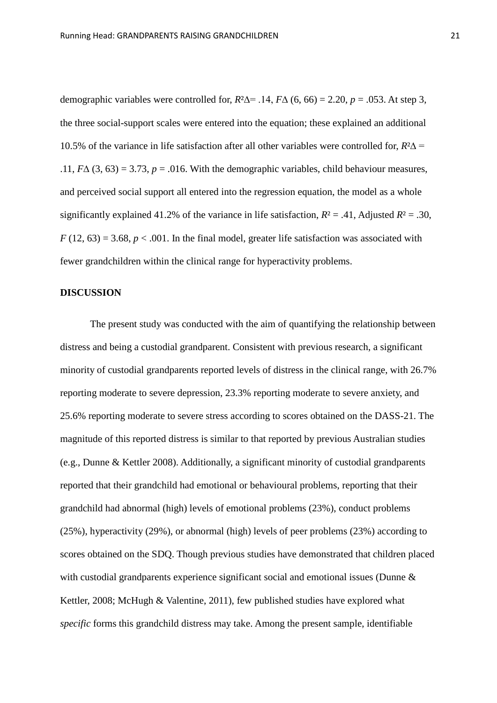demographic variables were controlled for,  $R^2\Delta$  = .14,  $F\Delta$  (6, 66) = 2.20,  $p = .053$ . At step 3, the three social-support scales were entered into the equation; these explained an additional 10.5% of the variance in life satisfaction after all other variables were controlled for, *R*²∆ = .11,  $F\Delta$  (3, 63) = 3.73,  $p = .016$ . With the demographic variables, child behaviour measures, and perceived social support all entered into the regression equation, the model as a whole significantly explained 41.2% of the variance in life satisfaction,  $R^2 = .41$ , Adjusted  $R^2 = .30$ ,  $F(12, 63) = 3.68$ ,  $p < .001$ . In the final model, greater life satisfaction was associated with fewer grandchildren within the clinical range for hyperactivity problems.

#### **DISCUSSION**

The present study was conducted with the aim of quantifying the relationship between distress and being a custodial grandparent. Consistent with previous research, a significant minority of custodial grandparents reported levels of distress in the clinical range, with 26.7% reporting moderate to severe depression, 23.3% reporting moderate to severe anxiety, and 25.6% reporting moderate to severe stress according to scores obtained on the DASS-21. The magnitude of this reported distress is similar to that reported by previous Australian studies (e.g., Dunne & Kettler 2008). Additionally, a significant minority of custodial grandparents reported that their grandchild had emotional or behavioural problems, reporting that their grandchild had abnormal (high) levels of emotional problems (23%), conduct problems (25%), hyperactivity (29%), or abnormal (high) levels of peer problems (23%) according to scores obtained on the SDQ. Though previous studies have demonstrated that children placed with custodial grandparents experience significant social and emotional issues (Dunne & Kettler, 2008; McHugh & Valentine, 2011), few published studies have explored what *specific* forms this grandchild distress may take. Among the present sample, identifiable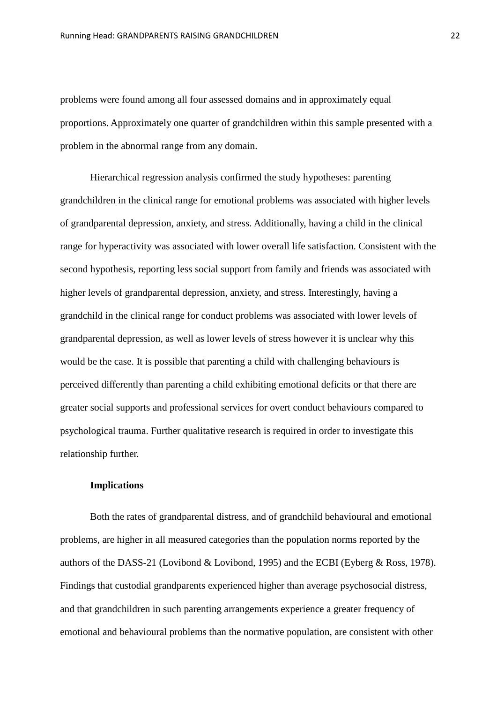problems were found among all four assessed domains and in approximately equal proportions. Approximately one quarter of grandchildren within this sample presented with a problem in the abnormal range from any domain.

Hierarchical regression analysis confirmed the study hypotheses: parenting grandchildren in the clinical range for emotional problems was associated with higher levels of grandparental depression, anxiety, and stress. Additionally, having a child in the clinical range for hyperactivity was associated with lower overall life satisfaction. Consistent with the second hypothesis, reporting less social support from family and friends was associated with higher levels of grandparental depression, anxiety, and stress. Interestingly, having a grandchild in the clinical range for conduct problems was associated with lower levels of grandparental depression, as well as lower levels of stress however it is unclear why this would be the case. It is possible that parenting a child with challenging behaviours is perceived differently than parenting a child exhibiting emotional deficits or that there are greater social supports and professional services for overt conduct behaviours compared to psychological trauma. Further qualitative research is required in order to investigate this relationship further.

#### **Implications**

Both the rates of grandparental distress, and of grandchild behavioural and emotional problems, are higher in all measured categories than the population norms reported by the authors of the DASS-21 (Lovibond & Lovibond, 1995) and the ECBI (Eyberg & Ross, 1978). Findings that custodial grandparents experienced higher than average psychosocial distress, and that grandchildren in such parenting arrangements experience a greater frequency of emotional and behavioural problems than the normative population, are consistent with other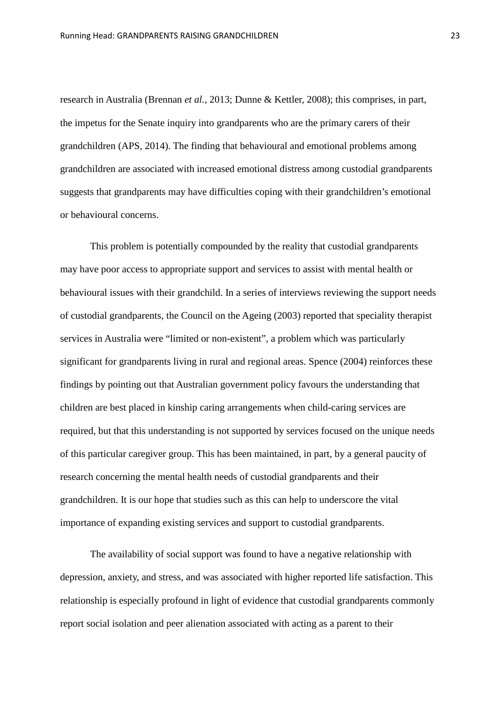research in Australia (Brennan *et al.*, 2013; Dunne & Kettler, 2008); this comprises, in part, the impetus for the Senate inquiry into grandparents who are the primary carers of their grandchildren (APS, 2014). The finding that behavioural and emotional problems among grandchildren are associated with increased emotional distress among custodial grandparents suggests that grandparents may have difficulties coping with their grandchildren's emotional or behavioural concerns.

This problem is potentially compounded by the reality that custodial grandparents may have poor access to appropriate support and services to assist with mental health or behavioural issues with their grandchild. In a series of interviews reviewing the support needs of custodial grandparents, the Council on the Ageing (2003) reported that speciality therapist services in Australia were "limited or non-existent", a problem which was particularly significant for grandparents living in rural and regional areas. Spence (2004) reinforces these findings by pointing out that Australian government policy favours the understanding that children are best placed in kinship caring arrangements when child-caring services are required, but that this understanding is not supported by services focused on the unique needs of this particular caregiver group. This has been maintained, in part, by a general paucity of research concerning the mental health needs of custodial grandparents and their grandchildren. It is our hope that studies such as this can help to underscore the vital importance of expanding existing services and support to custodial grandparents.

The availability of social support was found to have a negative relationship with depression, anxiety, and stress, and was associated with higher reported life satisfaction. This relationship is especially profound in light of evidence that custodial grandparents commonly report social isolation and peer alienation associated with acting as a parent to their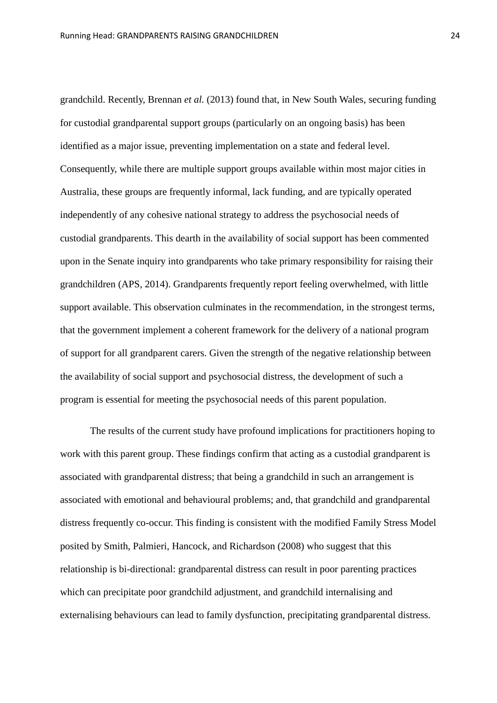grandchild. Recently, Brennan *et al.* (2013) found that, in New South Wales, securing funding for custodial grandparental support groups (particularly on an ongoing basis) has been identified as a major issue, preventing implementation on a state and federal level. Consequently, while there are multiple support groups available within most major cities in Australia, these groups are frequently informal, lack funding, and are typically operated independently of any cohesive national strategy to address the psychosocial needs of custodial grandparents. This dearth in the availability of social support has been commented upon in the Senate inquiry into grandparents who take primary responsibility for raising their grandchildren (APS, 2014). Grandparents frequently report feeling overwhelmed, with little support available. This observation culminates in the recommendation, in the strongest terms, that the government implement a coherent framework for the delivery of a national program of support for all grandparent carers. Given the strength of the negative relationship between the availability of social support and psychosocial distress, the development of such a program is essential for meeting the psychosocial needs of this parent population.

The results of the current study have profound implications for practitioners hoping to work with this parent group. These findings confirm that acting as a custodial grandparent is associated with grandparental distress; that being a grandchild in such an arrangement is associated with emotional and behavioural problems; and, that grandchild and grandparental distress frequently co-occur. This finding is consistent with the modified Family Stress Model posited by Smith, Palmieri, Hancock, and Richardson (2008) who suggest that this relationship is bi-directional: grandparental distress can result in poor parenting practices which can precipitate poor grandchild adjustment, and grandchild internalising and externalising behaviours can lead to family dysfunction, precipitating grandparental distress.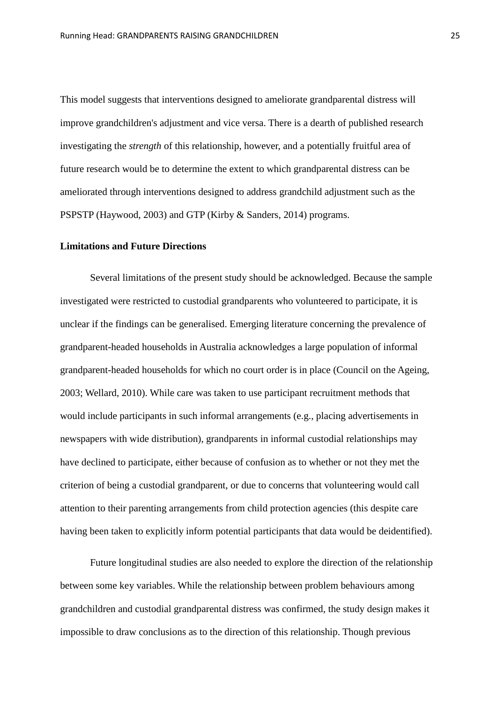This model suggests that interventions designed to ameliorate grandparental distress will improve grandchildren's adjustment and vice versa. There is a dearth of published research investigating the *strength* of this relationship, however, and a potentially fruitful area of future research would be to determine the extent to which grandparental distress can be ameliorated through interventions designed to address grandchild adjustment such as the PSPSTP (Haywood, 2003) and GTP (Kirby & Sanders, 2014) programs.

#### **Limitations and Future Directions**

Several limitations of the present study should be acknowledged. Because the sample investigated were restricted to custodial grandparents who volunteered to participate, it is unclear if the findings can be generalised. Emerging literature concerning the prevalence of grandparent-headed households in Australia acknowledges a large population of informal grandparent-headed households for which no court order is in place (Council on the Ageing, 2003; Wellard, 2010). While care was taken to use participant recruitment methods that would include participants in such informal arrangements (e.g., placing advertisements in newspapers with wide distribution), grandparents in informal custodial relationships may have declined to participate, either because of confusion as to whether or not they met the criterion of being a custodial grandparent, or due to concerns that volunteering would call attention to their parenting arrangements from child protection agencies (this despite care having been taken to explicitly inform potential participants that data would be deidentified).

Future longitudinal studies are also needed to explore the direction of the relationship between some key variables. While the relationship between problem behaviours among grandchildren and custodial grandparental distress was confirmed, the study design makes it impossible to draw conclusions as to the direction of this relationship. Though previous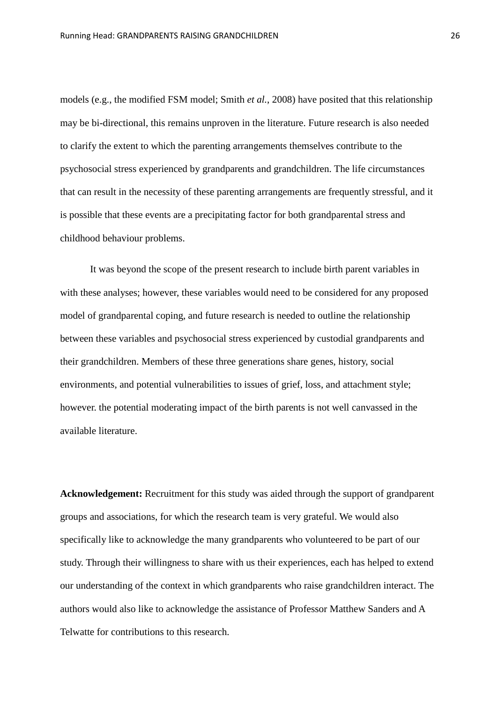models (e.g., the modified FSM model; Smith *et al.*, 2008) have posited that this relationship may be bi-directional, this remains unproven in the literature. Future research is also needed to clarify the extent to which the parenting arrangements themselves contribute to the psychosocial stress experienced by grandparents and grandchildren. The life circumstances that can result in the necessity of these parenting arrangements are frequently stressful, and it is possible that these events are a precipitating factor for both grandparental stress and childhood behaviour problems.

It was beyond the scope of the present research to include birth parent variables in with these analyses; however, these variables would need to be considered for any proposed model of grandparental coping, and future research is needed to outline the relationship between these variables and psychosocial stress experienced by custodial grandparents and their grandchildren. Members of these three generations share genes, history, social environments, and potential vulnerabilities to issues of grief, loss, and attachment style; however. the potential moderating impact of the birth parents is not well canvassed in the available literature.

**Acknowledgement:** Recruitment for this study was aided through the support of grandparent groups and associations, for which the research team is very grateful. We would also specifically like to acknowledge the many grandparents who volunteered to be part of our study. Through their willingness to share with us their experiences, each has helped to extend our understanding of the context in which grandparents who raise grandchildren interact. The authors would also like to acknowledge the assistance of Professor Matthew Sanders and A Telwatte for contributions to this research.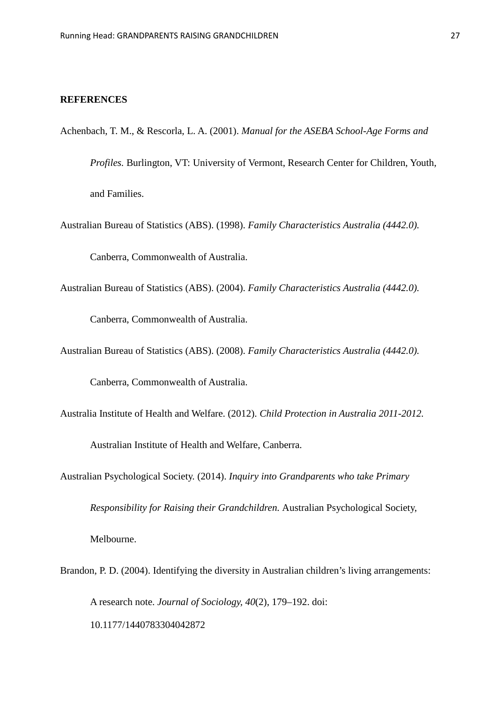#### **REFERENCES**

- Achenbach, T. M., & Rescorla, L. A. (2001). *Manual for the ASEBA School-Age Forms and Profiles.* Burlington, VT: University of Vermont, Research Center for Children, Youth, and Families.
- Australian Bureau of Statistics (ABS). (1998). *Family Characteristics Australia (4442.0).*

Canberra, Commonwealth of Australia.

Australian Bureau of Statistics (ABS). (2004). *Family Characteristics Australia (4442.0).* 

Canberra, Commonwealth of Australia.

Australian Bureau of Statistics (ABS). (2008). *Family Characteristics Australia (4442.0).* 

Canberra, Commonwealth of Australia.

Australia Institute of Health and Welfare. (2012). *Child Protection in Australia 2011-2012.* 

Australian Institute of Health and Welfare, Canberra.

Australian Psychological Society. (2014). *Inquiry into Grandparents who take Primary* 

*Responsibility for Raising their Grandchildren.* Australian Psychological Society,

Melbourne.

Brandon, P. D. (2004). Identifying the diversity in Australian children's living arrangements: A research note. *Journal of Sociology, 40*(2), 179–192. doi: 10.1177/1440783304042872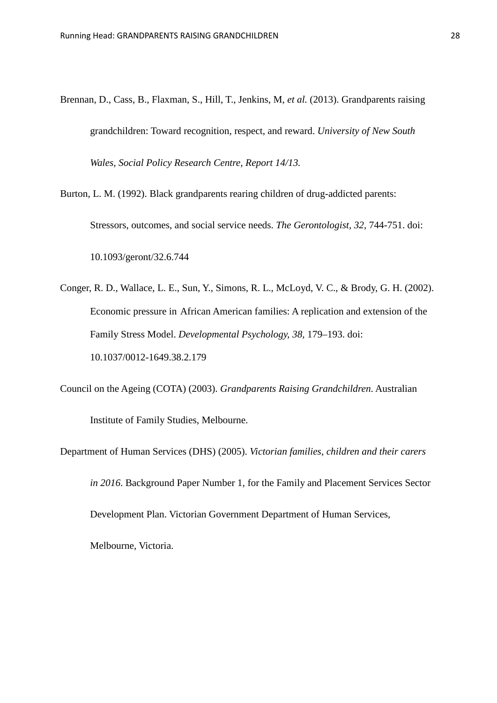- Brennan, D., Cass, B., Flaxman, S., Hill, T., Jenkins, M, *et al.* (2013). Grandparents raising grandchildren: Toward recognition, respect, and reward. *University of New South Wales, Social Policy Research Centre, Report 14/13.*
- Burton, L. M. (1992). Black grandparents rearing children of drug-addicted parents: Stressors, outcomes, and social service needs. *The Gerontologist, 32*, 744-751. doi: 10.1093/geront/32.6.744
- Conger, R. D., Wallace, L. E., Sun, Y., Simons, R. L., McLoyd, V. C., & Brody, G. H. (2002). Economic pressure in African American families: A replication and extension of the Family Stress Model. *Developmental Psychology, 38,* 179–193. doi: 10.1037/0012-1649.38.2.179
- Council on the Ageing (COTA) (2003). *Grandparents Raising Grandchildren*. Australian Institute of Family Studies, Melbourne.
- Department of Human Services (DHS) (2005). *Victorian families, children and their carers in 2016*. Background Paper Number 1, for the Family and Placement Services Sector Development Plan. Victorian Government Department of Human Services,

Melbourne, Victoria.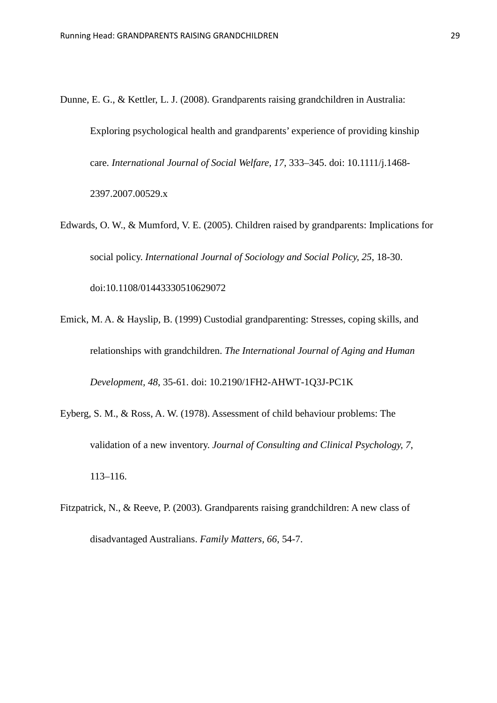- Dunne, E. G., & Kettler, L. J. (2008). Grandparents raising grandchildren in Australia: Exploring psychological health and grandparents' experience of providing kinship care. *International Journal of Social Welfare, 17*, 333–345. doi: 10.1111/j.1468- 2397.2007.00529.x
- Edwards, O. W., & Mumford, V. E. (2005). Children raised by grandparents: Implications for social policy. *International Journal of Sociology and Social Policy, 25*, 18-30. doi:10.1108/01443330510629072
- Emick, M. A. & Hayslip, B. (1999) Custodial grandparenting: Stresses, coping skills, and relationships with grandchildren. *The International Journal of Aging and Human Development, 48*, 35-61. doi: 10.2190/1FH2-AHWT-1Q3J-PC1K
- Eyberg, S. M., & Ross, A. W. (1978). Assessment of child behaviour problems: The validation of a new inventory. *Journal of Consulting and Clinical Psychology, 7*, 113–116.
- Fitzpatrick, N., & Reeve, P. (2003). Grandparents raising grandchildren: A new class of disadvantaged Australians. *Family Matters, 66*, 54-7.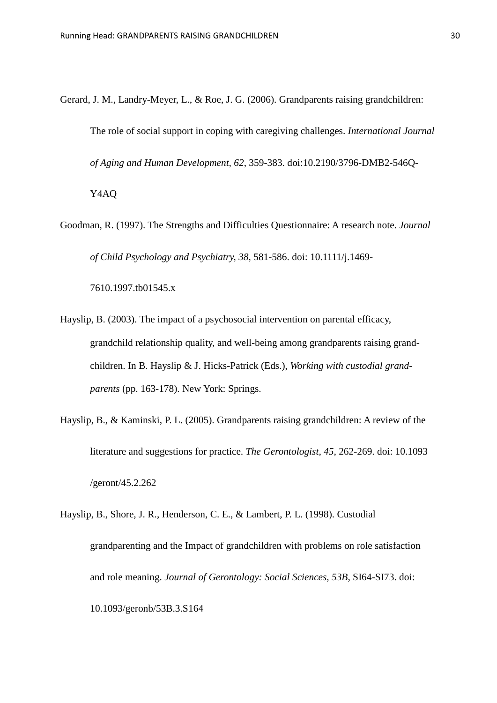Gerard, J. M., Landry-Meyer, L., & Roe, J. G. (2006). Grandparents raising grandchildren: The role of social support in coping with caregiving challenges. *International Journal of Aging and Human Development, 62*, 359-383. doi:10.2190/3796-DMB2-546Q-

Y4AQ

Goodman, R. (1997). The Strengths and Difficulties Questionnaire: A research note. *Journal of Child Psychology and Psychiatry, 38*, 581-586. doi: 10.1111/j.1469-

7610.1997.tb01545.x

- Hayslip, B. (2003). The impact of a psychosocial intervention on parental efficacy, grandchild relationship quality, and well-being among grandparents raising grandchildren. In B. Hayslip & J. Hicks-Patrick (Eds.), *Working with custodial grandparents* (pp. 163-178). New York: Springs.
- Hayslip, B., & Kaminski, P. L. (2005). Grandparents raising grandchildren: A review of the literature and suggestions for practice. *The Gerontologist, 45*, 262-269. doi: 10.1093 /geront/45.2.262
- Hayslip, B., Shore, J. R., Henderson, C. E., & Lambert, P. L. (1998). Custodial grandparenting and the Impact of grandchildren with problems on role satisfaction and role meaning. *Journal of Gerontology: Social Sciences, 53B*, SI64-SI73. doi: 10.1093/geronb/53B.3.S164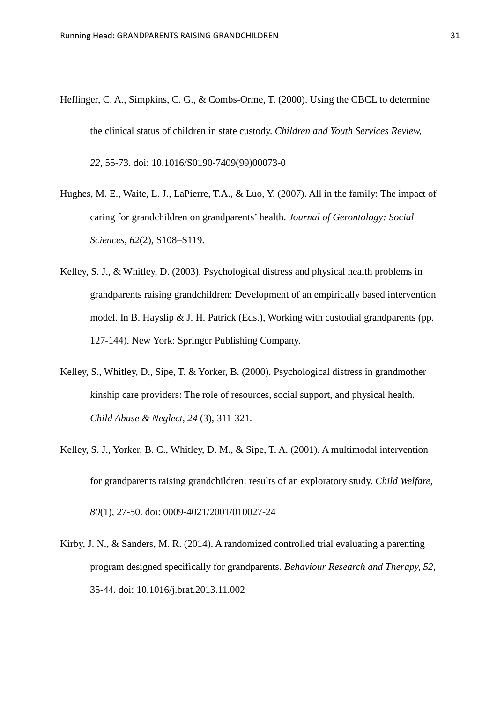- Heflinger, C. A., Simpkins, C. G., & Combs-Orme, T. (2000). Using the CBCL to determine the clinical status of children in state custody. *Children and Youth Services Review, 22*, 55-73. doi: 10.1016/S0190-7409(99)00073-0
- Hughes, M. E., Waite, L. J., LaPierre, T.A., & Luo, Y. (2007). All in the family: The impact of caring for grandchildren on grandparents' health. *Journal of Gerontology: Social Sciences, 62*(2), S108–S119.
- Kelley, S. J., & Whitley, D. (2003). Psychological distress and physical health problems in grandparents raising grandchildren: Development of an empirically based intervention model. In B. Hayslip & J. H. Patrick (Eds.), Working with custodial grandparents (pp. 127-144). New York: Springer Publishing Company.
- Kelley, S., Whitley, D., Sipe, T. & Yorker, B. (2000). Psychological distress in grandmother kinship care providers: The role of resources, social support, and physical health. *Child Abuse & Neglect, 24* (3), 311-321.
- Kelley, S. J., Yorker, B. C., Whitley, D. M., & Sipe, T. A. (2001). A multimodal intervention for grandparents raising grandchildren: results of an exploratory study. *Child Welfare, 80*(1), 27-50. doi: 0009-4021/2001/010027-24
- Kirby, J. N., & Sanders, M. R. (2014). A randomized controlled trial evaluating a parenting program designed specifically for grandparents. *Behaviour Research and Therapy, 52*, 35-44. doi: 10.1016/j.brat.2013.11.002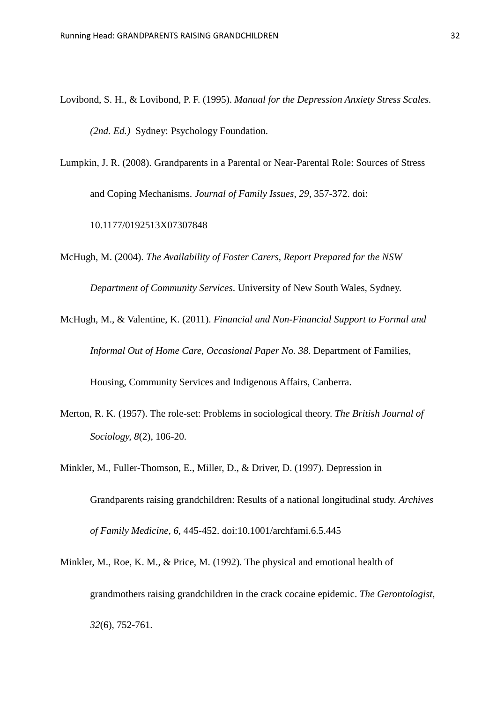- Lovibond, S. H., & Lovibond, P. F. (1995). *Manual for the Depression Anxiety Stress Scales. (2nd. Ed.)* Sydney: Psychology Foundation.
- Lumpkin, J. R. (2008). Grandparents in a Parental or Near-Parental Role: Sources of Stress and Coping Mechanisms. *Journal of Family Issues, 29*, 357-372. doi:

10.1177/0192513X07307848

McHugh, M. (2004). *The Availability of Foster Carers, Report Prepared for the NSW* 

*Department of Community Services*. University of New South Wales, Sydney.

- McHugh, M., & Valentine, K. (2011). *Financial and Non-Financial Support to Formal and Informal Out of Home Care, Occasional Paper No. 38*. Department of Families, Housing, Community Services and Indigenous Affairs, Canberra.
- Merton, R. K. (1957). The role-set: Problems in sociological theory. *The British Journal of* 
	- *Sociology, 8*(2), 106-20.
- Minkler, M., Fuller-Thomson, E., Miller, D., & Driver, D. (1997). Depression in Grandparents raising grandchildren: Results of a national longitudinal study. *Archives of Family Medicine, 6*, 445-452. doi:10.1001/archfami.6.5.445
- Minkler, M., Roe, K. M., & Price, M. (1992). The physical and emotional health of grandmothers raising grandchildren in the crack cocaine epidemic. *The Gerontologist, 32*(6), 752-761.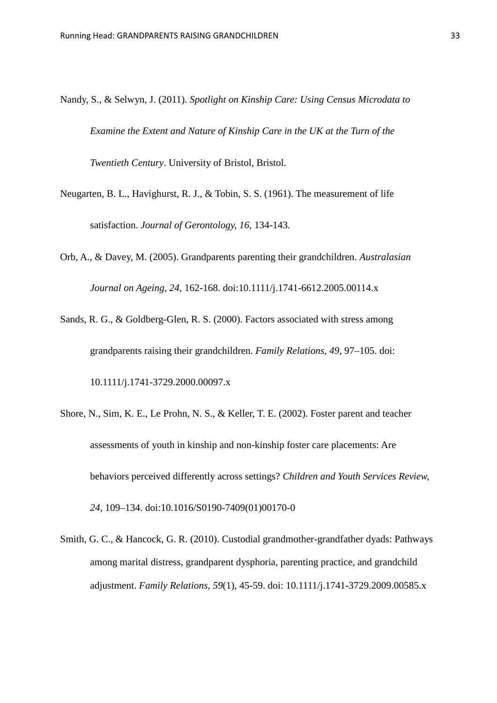- Nandy, S., & Selwyn, J. (2011). *Spotlight on Kinship Care: Using Census Microdata to Examine the Extent and Nature of Kinship Care in the UK at the Turn of the Twentieth Century*. University of Bristol, Bristol.
- Neugarten, B. L., Havighurst, R. J., & Tobin, S. S. (1961). The measurement of life satisfaction. *Journal of Gerontology, 16*, 134-143.
- Orb, A., & Davey, M. (2005). Grandparents parenting their grandchildren. *Australasian Journal on Ageing, 24*, 162-168. doi:10.1111/j.1741-6612.2005.00114.x
- Sands, R. G., & Goldberg-Glen, R. S. (2000). Factors associated with stress among grandparents raising their grandchildren. *Family Relations, 49*, 97–105. doi: 10.1111/j.1741-3729.2000.00097.x
- Shore, N., Sim, K. E., Le Prohn, N. S., & Keller, T. E. (2002). Foster parent and teacher assessments of youth in kinship and non-kinship foster care placements: Are behaviors perceived differently across settings? *Children and Youth Services Review, 24,* 109–134. doi:10.1016/S0190-7409(01)00170-0
- Smith, G. C., & Hancock, G. R. (2010). Custodial grandmother-grandfather dyads: Pathways among marital distress, grandparent dysphoria, parenting practice, and grandchild adjustment. *Family Relations, 59*(1), 45-59. doi: 10.1111/j.1741-3729.2009.00585.x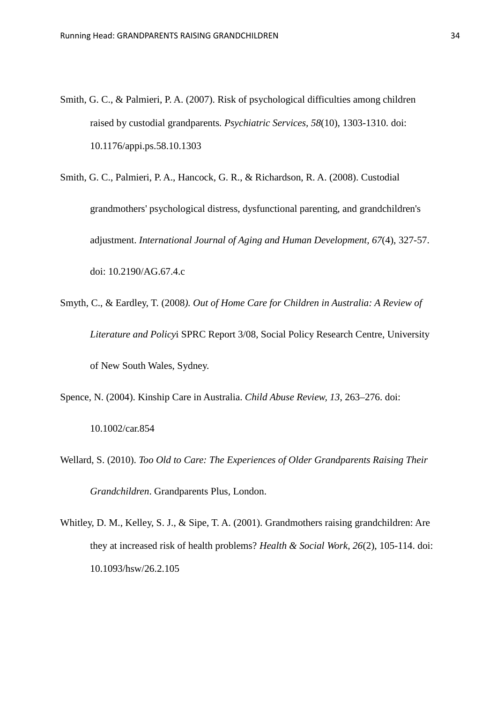Smith, G. C., & Palmieri, P. A. (2007). Risk of psychological difficulties among children raised by custodial grandparents*. Psychiatric Services, 58*(10), 1303-1310. doi: 10.1176/appi.ps.58.10.1303

Smith, G. C., Palmieri, P. A., Hancock, G. R., & Richardson, R. A. (2008). Custodial grandmothers' psychological distress, dysfunctional parenting, and grandchildren's adjustment. *International Journal of Aging and Human Development, 67*(4), 327-57. doi: 10.2190/AG.67.4.c

- Smyth, C., & Eardley, T. (2008*). Out of Home Care for Children in Australia: A Review of Literature and Policy*i SPRC Report 3/08, Social Policy Research Centre, University of New South Wales, Sydney.
- Spence, N. (2004). Kinship Care in Australia. *Child Abuse Review, 13*, 263–276. doi:

10.1002/car.854

- Wellard, S. (2010). *Too Old to Care: The Experiences of Older Grandparents Raising Their Grandchildren*. Grandparents Plus, London.
- Whitley, D. M., Kelley, S. J., & Sipe, T. A. (2001). Grandmothers raising grandchildren: Are they at increased risk of health problems? *Health & Social Work, 26*(2), 105-114. doi: 10.1093/hsw/26.2.105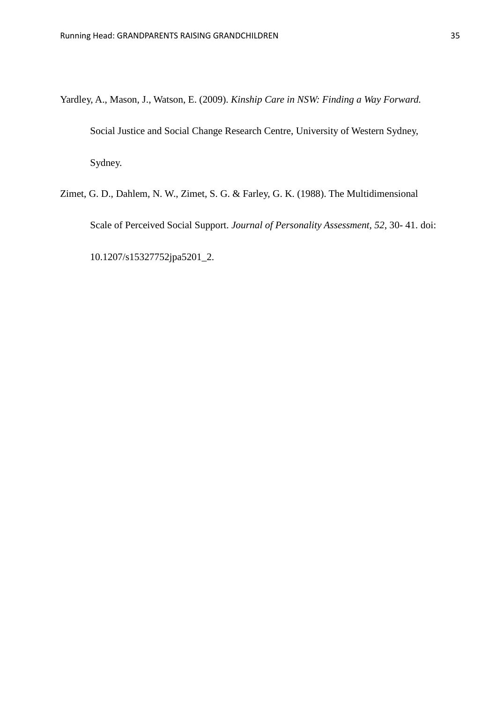- Yardley, A., Mason, J., Watson, E. (2009). *Kinship Care in NSW: Finding a Way Forward.* Social Justice and Social Change Research Centre, University of Western Sydney, Sydney.
- Zimet, G. D., Dahlem, N. W., Zimet, S. G. & Farley, G. K. (1988). The Multidimensional Scale of Perceived Social Support. *Journal of Personality Assessment, 52*, 30- 41. doi: 10.1207/s15327752jpa5201\_2.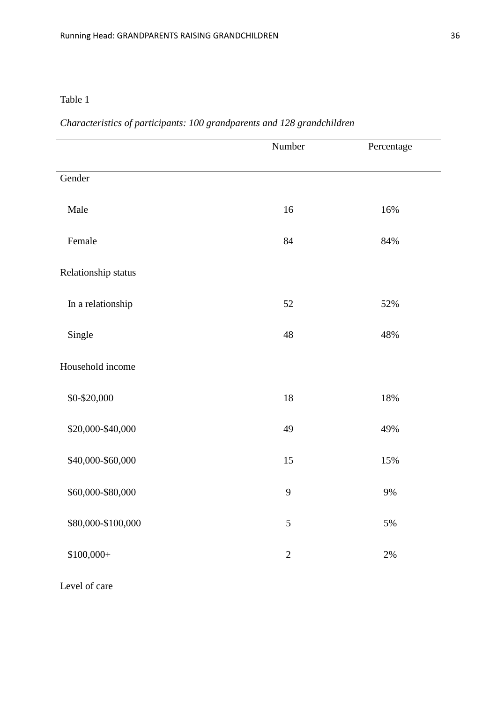### *Characteristics of participants: 100 grandparents and 128 grandchildren*

|                     | Number         | Percentage |
|---------------------|----------------|------------|
| Gender              |                |            |
| Male                | 16             | 16%        |
| Female              | 84             | 84%        |
| Relationship status |                |            |
| In a relationship   | $52\,$         | 52%        |
| Single              | $\sqrt{48}$    | 48%        |
| Household income    |                |            |
| \$0-\$20,000        | 18             | 18%        |
| \$20,000-\$40,000   | 49             | 49%        |
| \$40,000-\$60,000   | 15             | 15%        |
| \$60,000-\$80,000   | $\overline{9}$ | 9%         |
| \$80,000-\$100,000  | $\mathfrak s$  | $5\%$      |
| $$100,000+$         | $\sqrt{2}$     | $2\%$      |

Level of care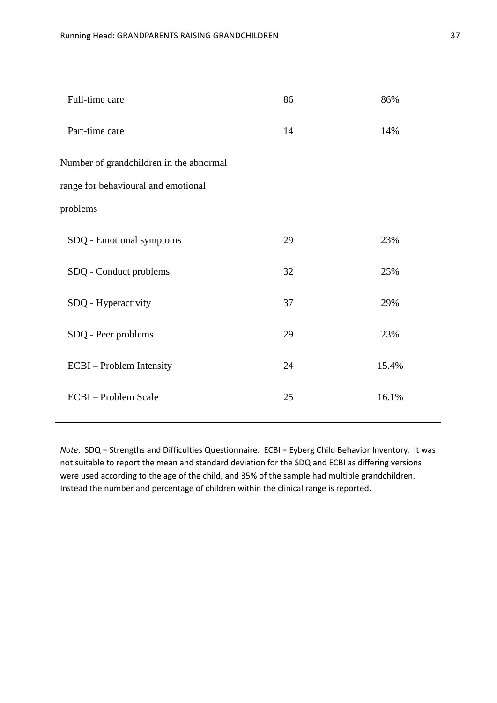| Full-time care                          | 86 | 86%   |
|-----------------------------------------|----|-------|
| Part-time care                          | 14 | 14%   |
| Number of grandchildren in the abnormal |    |       |
| range for behavioural and emotional     |    |       |
| problems                                |    |       |
| SDQ - Emotional symptoms                | 29 | 23%   |
| SDQ - Conduct problems                  | 32 | 25%   |
| SDQ - Hyperactivity                     | 37 | 29%   |
| SDQ - Peer problems                     | 29 | 23%   |
| ECBI – Problem Intensity                | 24 | 15.4% |
| <b>ECBI</b> - Problem Scale             | 25 | 16.1% |
|                                         |    |       |

*Note*. SDQ = Strengths and Difficulties Questionnaire. ECBI = Eyberg Child Behavior Inventory. It was not suitable to report the mean and standard deviation for the SDQ and ECBI as differing versions were used according to the age of the child, and 35% of the sample had multiple grandchildren. Instead the number and percentage of children within the clinical range is reported.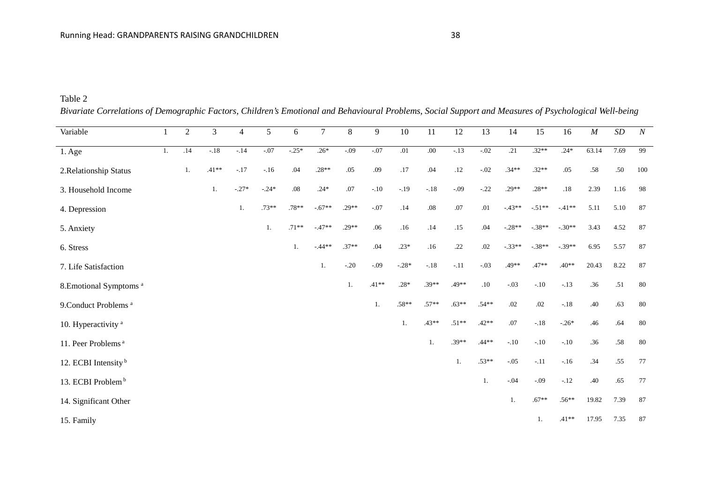*Bivariate Correlations of Demographic Factors, Children's Emotional and Behavioural Problems, Social Support and Measures of Psychological Well-being*

| Variable                           |    | $\overline{2}$ | $\mathfrak{Z}$ | $\overline{4}$ | 5       | 6       | $7\phantom{.0}$ | $\,8\,$ | 9       | 10      | 11      | 12      | 13      | 14       | 15            | 16       | $\cal M$ | $\cal SD$ | $\boldsymbol{N}$ |
|------------------------------------|----|----------------|----------------|----------------|---------|---------|-----------------|---------|---------|---------|---------|---------|---------|----------|---------------|----------|----------|-----------|------------------|
| 1. Age                             | 1. | .14            | $-.18$         | $-14$          | $-.07$  | $-25*$  | $.26*$          | $-.09$  | $-.07$  | .01     | .00     | $-13$   | $-.02$  | .21      | $.32**$       | $.24*$   | 63.14    | 7.69      | 99               |
| 2. Relationship Status             |    | 1.             | $.41**$        | $-.17$         | $-16$   | .04     | $.28**$         | .05     | .09     | .17     | .04     | $.12\,$ | $-.02$  | $.34**$  | $.32**$       | .05      | .58      | .50       | 100              |
| 3. Household Income                |    |                | 1.             | $-.27*$        | $-.24*$ | .08     | $.24*$          | $.07$   | $-.10$  | $-.19$  | $-.18$  | $-.09$  | $-0.22$ | $.29**$  | $.28**$       | $.18\,$  | 2.39     | 1.16      | 98               |
| 4. Depression                      |    |                |                | 1.             | $.73**$ | $.78**$ | $-.67**$        | $.29**$ | $-.07$  | .14     | $.08\,$ | .07     | $.01\,$ | $-43**$  | $-.51**$      | $-41**$  | 5.11     | 5.10      | 87               |
| 5. Anxiety                         |    |                |                |                | 1.      | $.71**$ | $-47**$         | .29**   | .06     | .16     | .14     | .15     | .04     | $-.28**$ | $-.38**$      | $-.30**$ | 3.43     | 4.52      | 87               |
| 6. Stress                          |    |                |                |                |         | 1.      | $-44**$         | $.37**$ | .04     | $.23*$  | .16     | .22     | .02     | $-.33**$ | $-.38**$      | $-39**$  | 6.95     | 5.57      | 87               |
| 7. Life Satisfaction               |    |                |                |                |         |         | 1.              | $-.20$  | $-.09$  | $-.28*$ | $-.18$  | $-.11$  | $-.03$  | .49**    | $.47**$       | $.40**$  | 20.43    | 8.22      | 87               |
| 8. Emotional Symptoms <sup>a</sup> |    |                |                |                |         |         |                 | 1.      | $.41**$ | $.28*$  | $.39**$ | .49**   | $.10\,$ | $-.03$   | $-.10$        | $-.13$   | .36      | .51       | 80               |
| 9. Conduct Problems <sup>a</sup>   |    |                |                |                |         |         |                 |         | 1.      | $.58**$ | $.57**$ | $.63**$ | $.54**$ | .02      | .02           | $-.18$   | .40      | .63       | 80               |
| 10. Hyperactivity <sup>a</sup>     |    |                |                |                |         |         |                 |         |         | 1.      | $.43**$ | $.51**$ | $.42**$ | $.07$    | $-.18$        | $-0.26*$ | .46      | .64       | 80               |
| 11. Peer Problems <sup>a</sup>     |    |                |                |                |         |         |                 |         |         |         | 1.      | $.39**$ | $.44**$ | $-.10$   | $\text{-}.10$ | $-.10$   | .36      | .58       | 80               |
| 12. ECBI Intensity <sup>b</sup>    |    |                |                |                |         |         |                 |         |         |         |         | 1.      | $.53**$ | $-.05$   | $-.11$        | $-16$    | .34      | .55       | 77               |
| 13. ECBI Problem <sup>b</sup>      |    |                |                |                |         |         |                 |         |         |         |         |         | 1.      | $-04$    | $-.09$        | $-.12$   | .40      | .65       | 77               |
| 14. Significant Other              |    |                |                |                |         |         |                 |         |         |         |         |         |         | 1.       | $.67**$       | $.56**$  | 19.82    | 7.39      | 87               |
| 15. Family                         |    |                |                |                |         |         |                 |         |         |         |         |         |         |          | 1.            | $.41**$  | 17.95    | 7.35      | 87               |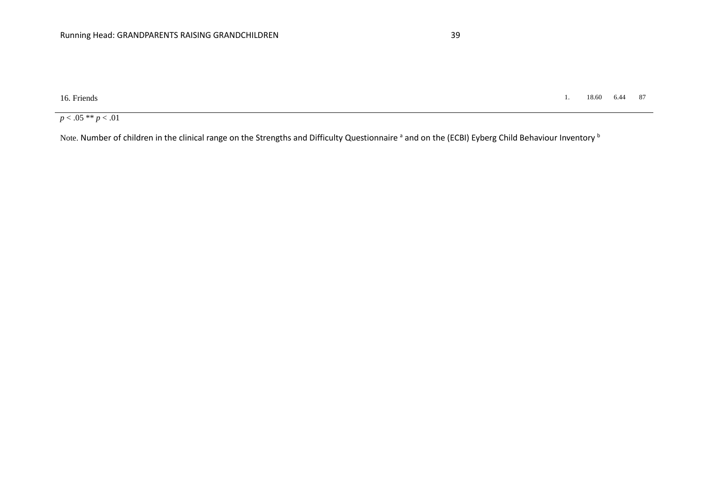16. Friends 1. 18.60 6.44 87

 $p < .05$  \*\*  $p < .01$ 

Note. Number of children in the clinical range on the Strengths and Difficulty Questionnaire <sup>a</sup> and on the (ECBI) Eyberg Child Behaviour Inventory <sup>b</sup>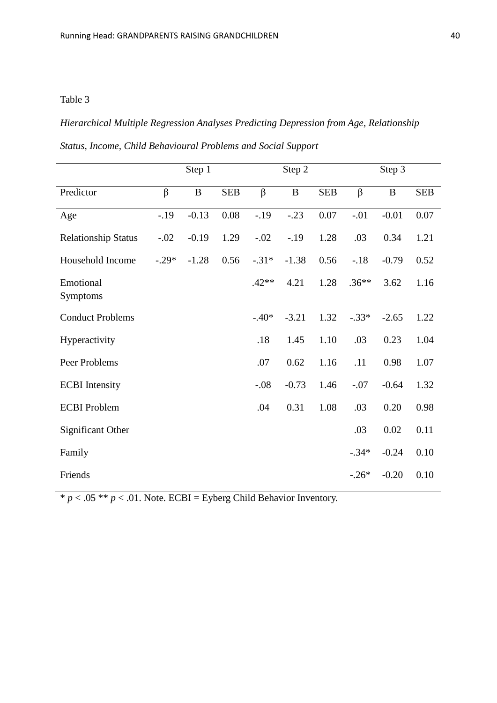### *Hierarchical Multiple Regression Analyses Predicting Depression from Age, Relationship*

| Status, Income, Child Behavioural Problems and Social Support |  |  |  |  |  |  |
|---------------------------------------------------------------|--|--|--|--|--|--|
|---------------------------------------------------------------|--|--|--|--|--|--|

|                            |         | Step 1       |            |         | Step 2       |            |         | Step 3       |            |
|----------------------------|---------|--------------|------------|---------|--------------|------------|---------|--------------|------------|
| Predictor                  | $\beta$ | $\, {\bf B}$ | <b>SEB</b> | $\beta$ | $\, {\bf B}$ | <b>SEB</b> | $\beta$ | $\, {\bf B}$ | <b>SEB</b> |
| Age                        | $-19$   | $-0.13$      | 0.08       | $-.19$  | $-.23$       | 0.07       | $-.01$  | $-0.01$      | 0.07       |
| <b>Relationship Status</b> | $-.02$  | $-0.19$      | 1.29       | $-.02$  | $-.19$       | 1.28       | .03     | 0.34         | 1.21       |
| Household Income           | $-.29*$ | $-1.28$      | 0.56       | $-.31*$ | $-1.38$      | 0.56       | $-.18$  | $-0.79$      | 0.52       |
| Emotional<br>Symptoms      |         |              |            | $.42**$ | 4.21         | 1.28       | $.36**$ | 3.62         | 1.16       |
| <b>Conduct Problems</b>    |         |              |            | $-.40*$ | $-3.21$      | 1.32       | $-.33*$ | $-2.65$      | 1.22       |
| Hyperactivity              |         |              |            | .18     | 1.45         | 1.10       | .03     | 0.23         | 1.04       |
| Peer Problems              |         |              |            | .07     | 0.62         | 1.16       | .11     | 0.98         | 1.07       |
| <b>ECBI</b> Intensity      |         |              |            | $-.08$  | $-0.73$      | 1.46       | $-.07$  | $-0.64$      | 1.32       |
| <b>ECBI</b> Problem        |         |              |            | .04     | 0.31         | 1.08       | .03     | 0.20         | 0.98       |
| <b>Significant Other</b>   |         |              |            |         |              |            | .03     | 0.02         | 0.11       |
| Family                     |         |              |            |         |              |            | $-.34*$ | $-0.24$      | 0.10       |
| Friends                    |         |              |            |         |              |            | $-.26*$ | $-0.20$      | 0.10       |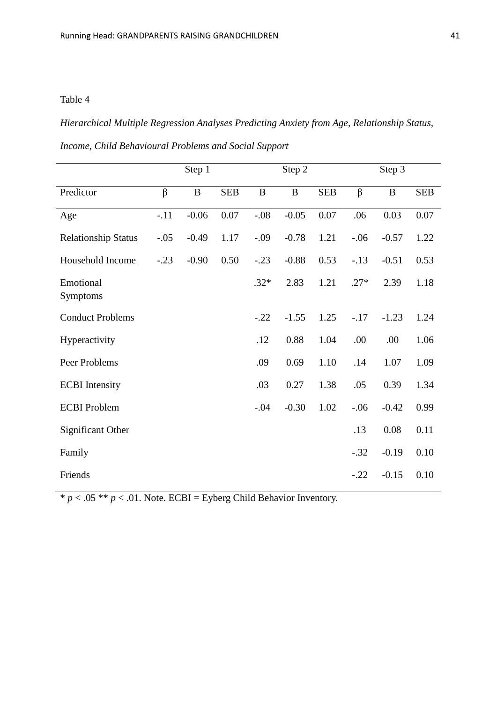*Hierarchical Multiple Regression Analyses Predicting Anxiety from Age, Relationship Status,* 

| Income, Child Behavioural Problems and Social Support |  |  |  |  |  |  |  |
|-------------------------------------------------------|--|--|--|--|--|--|--|
|-------------------------------------------------------|--|--|--|--|--|--|--|

|                            |         | Step 1   |            |          | Step 2   |            |         | Step 3   |            |
|----------------------------|---------|----------|------------|----------|----------|------------|---------|----------|------------|
| Predictor                  | $\beta$ | $\bf{B}$ | <b>SEB</b> | $\bf{B}$ | $\bf{B}$ | <b>SEB</b> | $\beta$ | $\bf{B}$ | <b>SEB</b> |
| Age                        | $-.11$  | $-0.06$  | 0.07       | $-.08$   | $-0.05$  | 0.07       | .06     | 0.03     | 0.07       |
| <b>Relationship Status</b> | $-.05$  | $-0.49$  | 1.17       | $-.09$   | $-0.78$  | 1.21       | $-.06$  | $-0.57$  | 1.22       |
| Household Income           | $-.23$  | $-0.90$  | 0.50       | $-.23$   | $-0.88$  | 0.53       | $-.13$  | $-0.51$  | 0.53       |
| Emotional<br>Symptoms      |         |          |            | $.32*$   | 2.83     | 1.21       | $.27*$  | 2.39     | 1.18       |
| <b>Conduct Problems</b>    |         |          |            | $-.22$   | $-1.55$  | 1.25       | $-17$   | $-1.23$  | 1.24       |
| Hyperactivity              |         |          |            | .12      | 0.88     | 1.04       | .00     | .00      | 1.06       |
| Peer Problems              |         |          |            | .09      | 0.69     | 1.10       | .14     | 1.07     | 1.09       |
| <b>ECBI</b> Intensity      |         |          |            | .03      | 0.27     | 1.38       | .05     | 0.39     | 1.34       |
| <b>ECBI</b> Problem        |         |          |            | $-.04$   | $-0.30$  | 1.02       | $-.06$  | $-0.42$  | 0.99       |
| Significant Other          |         |          |            |          |          |            | .13     | 0.08     | 0.11       |
| Family                     |         |          |            |          |          |            | $-.32$  | $-0.19$  | 0.10       |
| Friends                    |         |          |            |          |          |            | $-.22$  | $-0.15$  | 0.10       |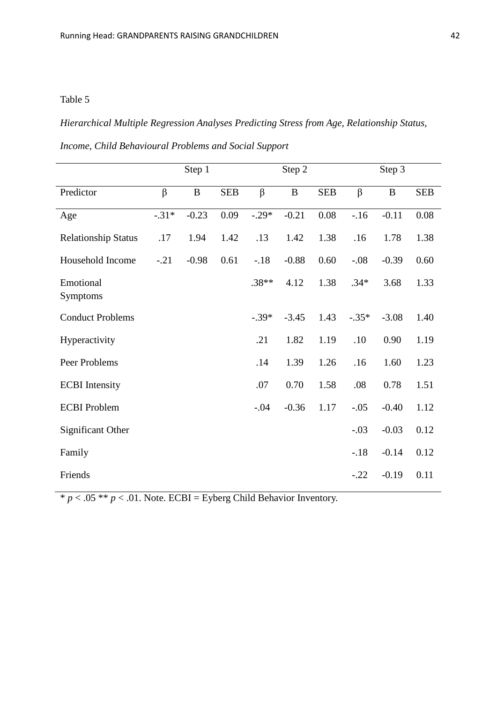*Hierarchical Multiple Regression Analyses Predicting Stress from Age, Relationship Status,* 

| Income, Child Behavioural Problems and Social Support |  |  |  |  |  |  |
|-------------------------------------------------------|--|--|--|--|--|--|
|-------------------------------------------------------|--|--|--|--|--|--|

|                            |         | Step 1   |            |         | Step 2  |            |         | Step 3   |            |
|----------------------------|---------|----------|------------|---------|---------|------------|---------|----------|------------|
| Predictor                  | $\beta$ | $\bf{B}$ | <b>SEB</b> | $\beta$ | B       | <b>SEB</b> | $\beta$ | $\bf{B}$ | <b>SEB</b> |
| Age                        | $-.31*$ | $-0.23$  | 0.09       | $-.29*$ | $-0.21$ | 0.08       | $-16$   | $-0.11$  | 0.08       |
| <b>Relationship Status</b> | .17     | 1.94     | 1.42       | .13     | 1.42    | 1.38       | .16     | 1.78     | 1.38       |
| Household Income           | $-.21$  | $-0.98$  | 0.61       | $-.18$  | $-0.88$ | 0.60       | $-.08$  | $-0.39$  | 0.60       |
| Emotional<br>Symptoms      |         |          |            | $.38**$ | 4.12    | 1.38       | $.34*$  | 3.68     | 1.33       |
| <b>Conduct Problems</b>    |         |          |            | $-.39*$ | $-3.45$ | 1.43       | $-.35*$ | $-3.08$  | 1.40       |
| Hyperactivity              |         |          |            | .21     | 1.82    | 1.19       | .10     | 0.90     | 1.19       |
| Peer Problems              |         |          |            | .14     | 1.39    | 1.26       | .16     | 1.60     | 1.23       |
| <b>ECBI</b> Intensity      |         |          |            | .07     | 0.70    | 1.58       | .08     | 0.78     | 1.51       |
| <b>ECBI</b> Problem        |         |          |            | $-.04$  | $-0.36$ | 1.17       | $-.05$  | $-0.40$  | 1.12       |
| Significant Other          |         |          |            |         |         |            | $-.03$  | $-0.03$  | 0.12       |
| Family                     |         |          |            |         |         |            | $-.18$  | $-0.14$  | 0.12       |
| Friends                    |         |          |            |         |         |            | $-.22$  | $-0.19$  | 0.11       |